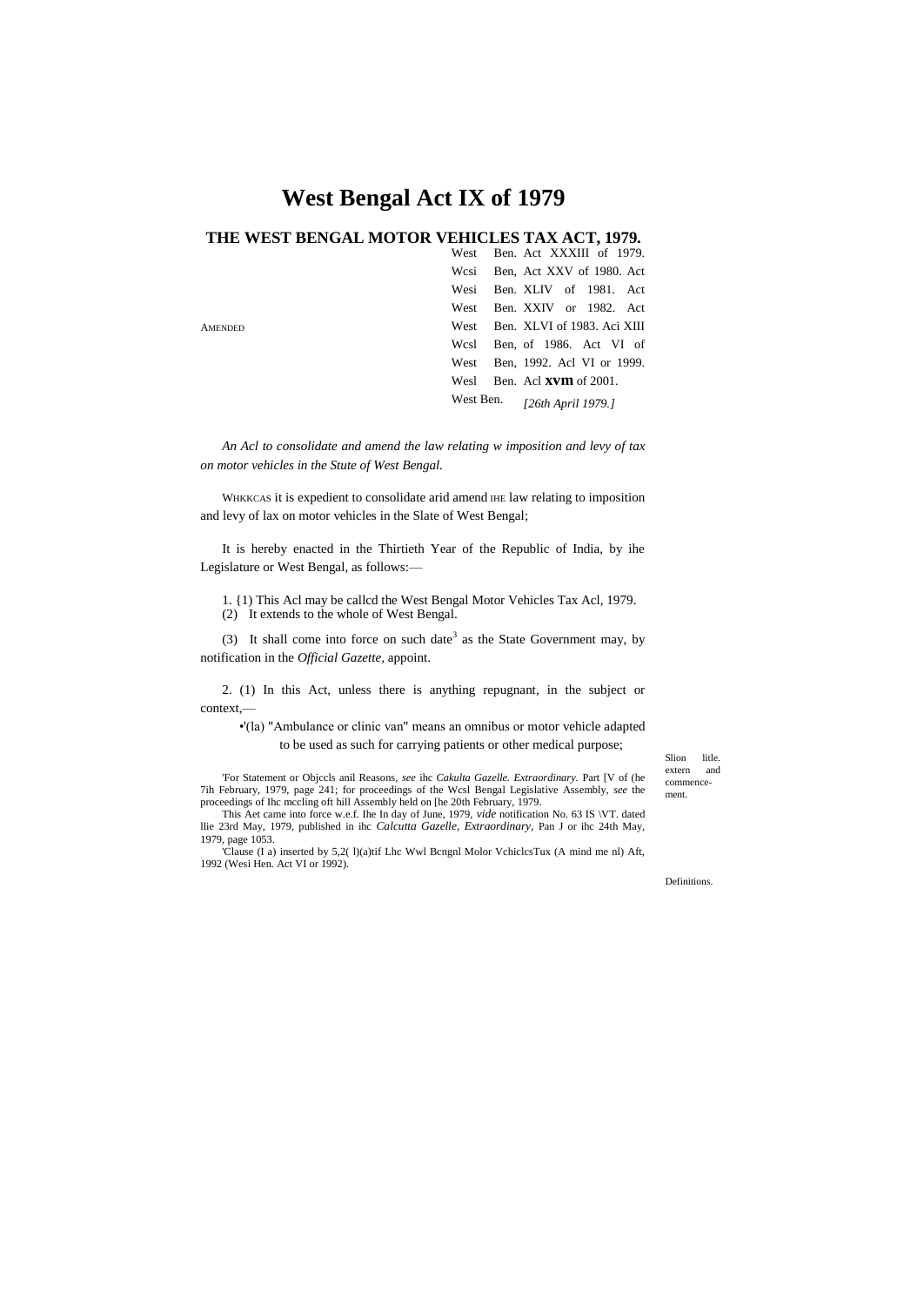# **West Bengal Act IX of 1979**

# **THE WEST BENGAL MOTOR VEHICLES TAX ACT, 1979.**

|                | West Ben. Act XXXIII of 1979.    |                              |  |                    |  |
|----------------|----------------------------------|------------------------------|--|--------------------|--|
|                | Wesi Ben, Act XXV of 1980. Act   |                              |  |                    |  |
|                | Wesi Ben. XLIV of 1981. Act      |                              |  |                    |  |
|                | West                             | Ben. XXIV or 1982. Act       |  |                    |  |
| <b>AMENDED</b> | West Ben. XLVI of 1983. Aci XIII |                              |  |                    |  |
|                | Wesl Ben, of 1986. Act VI of     |                              |  |                    |  |
|                | West Ben, 1992. Acl VI or 1999.  |                              |  |                    |  |
|                | Wesl                             | Ben. Acl <b>xvm</b> of 2001. |  |                    |  |
|                | West Ben.                        |                              |  | [26th April 1979.] |  |

*An Acl to consolidate and amend the law relating w imposition and levy of tax on motor vehicles in the Stute of West Bengal.*

WHKKCAS it is expedient to consolidate arid amend IHE law relating to imposition and levy of lax on motor vehicles in the Slate of West Bengal;

It is hereby enacted in the Thirtieth Year of the Republic of India, by ihe Legislature or West Bengal, as follows:—

1. {1) This Acl may be callcd the West Bengal Motor Vehicles Tax Acl, 1979. (2) It extends to the whole of West Bengal.

(3) It shall come into force on such date<sup>3</sup> as the State Government may, by notification in the *Official Gazette,* appoint.

2. (1) In this Act, unless there is anything repugnant, in the subject or context,—

•'(la) "Ambulance or clinic van" means an omnibus or motor vehicle adapted to be used as such for carrying patients or other medical purpose;

'For Statement or Objccls anil Reasons, *see* ihc *Cakulta Gazelle. Extraordinary.* Part [V of (he 7ih February, 1979, page 241; for proceedings of the Wcsl Bengal Legislative Assembly, *see* the proceedings of Ihc mccling oft hill Assembly held on [he 20th February, 1979.

This Aet came into force w.e.f. Ihe In day of June, 1979, *vide* notification No. 63 IS \VT. dated llie 23rd May, 1979, published in ihc *Calcutta Gazelle, Extraordinary,* Pan J or ihc 24th May, 1979, page 1053.

'Clause (I a) inserted by 5,2( l)(a)tif Lhc Wwl Bcngnl Molor VchiclcsTux (A mind me nl) Aft, 1992 (Wesi Hen. Act VI or 1992).

Slion litle.<br>extern and extern commencement.

Definitions.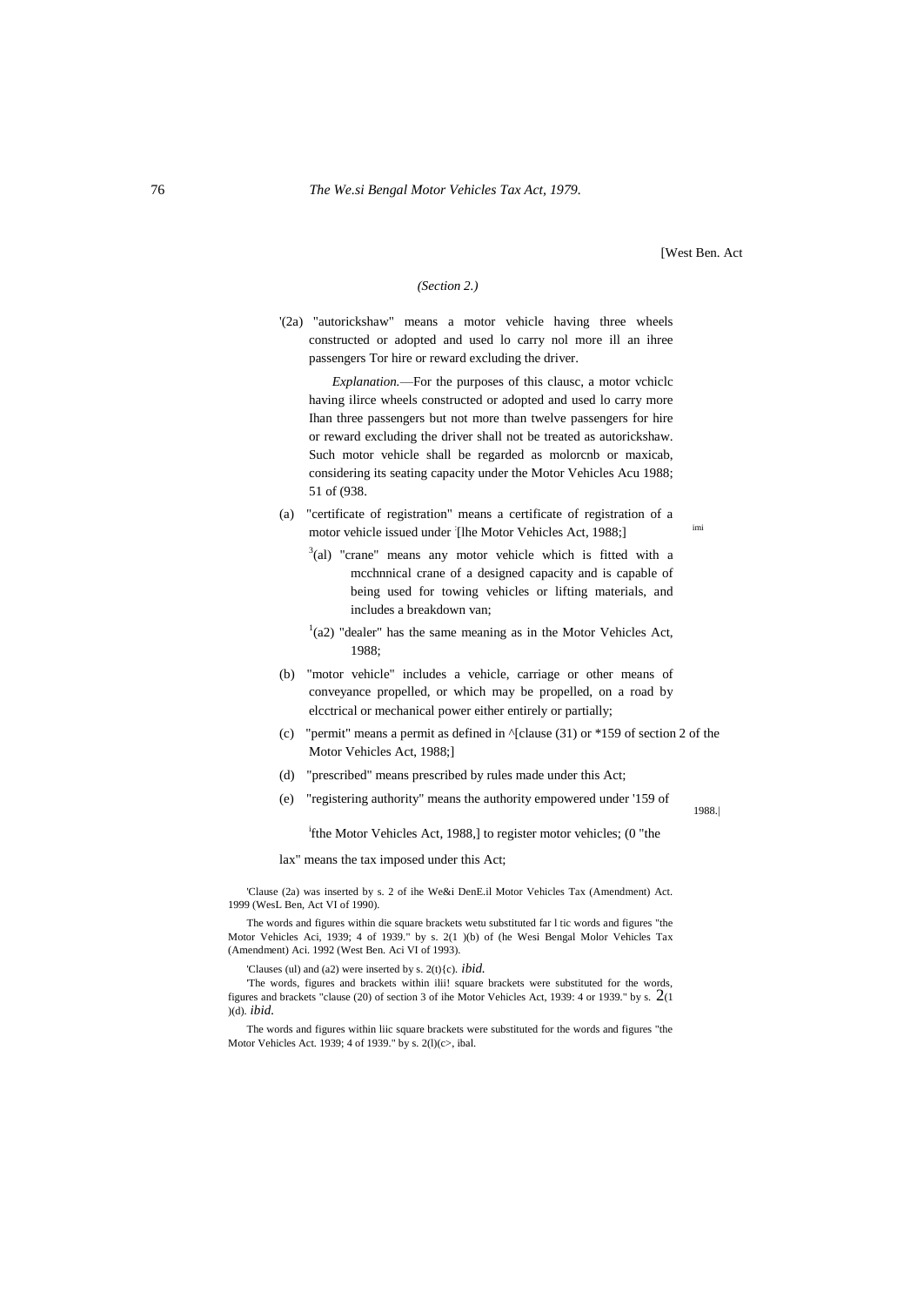[West Ben. Act

1988.|

#### *(Section 2.)*

'(2a) "autorickshaw" means a motor vehicle having three wheels constructed or adopted and used lo carry nol more ill an ihree passengers Tor hire or reward excluding the driver.

*Explanation.*—For the purposes of this clausc, a motor vchiclc having ilirce wheels constructed or adopted and used lo carry more Ihan three passengers but not more than twelve passengers for hire or reward excluding the driver shall not be treated as autorickshaw. Such motor vehicle shall be regarded as molorcnb or maxicab, considering its seating capacity under the Motor Vehicles Acu 1988; 51 of (938.

- (a) "certificate of registration" means a certificate of registration of a motor vehicle issued under [Ihe Motor Vehicles Act, 1988;]
	- $3$ (al) "crane" means any motor vehicle which is fitted with a mcchnnical crane of a designed capacity and is capable of being used for towing vehicles or lifting materials, and includes a breakdown van;
	- $(1)(a2)$  "dealer" has the same meaning as in the Motor Vehicles Act, 1988;
- (b) "motor vehicle" includes a vehicle, carriage or other means of conveyance propelled, or which may be propelled, on a road by elcctrical or mechanical power either entirely or partially;
- (c) "permit" means a permit as defined in  $\sqrt{\text{clause (31)}}$  or \*159 of section 2 of the Motor Vehicles Act, 1988;]
- (d) "prescribed" means prescribed by rules made under this Act;
- (e) "registering authority" means the authority empowered under '159 of

<sup>i</sup>fthe Motor Vehicles Act, 1988,] to register motor vehicles; (0 "the

lax" means the tax imposed under this Act;

'Clause (2a) was inserted by s. 2 of ihe We&i DenE.il Motor Vehicles Tax (Amendment) Act. 1999 (WesL Ben, Act VI of 1990).

The words and figures within die square brackets wetu substituted far l tic words and figures "the Motor Vehicles Aci, 1939; 4 of 1939." by s. 2(1 )(b) of (he Wesi Bengal Molor Vehicles Tax (Amendment) Aci. 1992 (West Ben. Aci VI of 1993).

'Clauses (ul) and (a2) were inserted by s. 2(t){c). *ibid.*

'The words, figures and brackets within ilii! square brackets were substituted for the words, figures and brackets "clause (20) of section 3 of ihe Motor Vehicles Act, 1939: 4 or 1939." by s. 2(1 )(d). *ibid.*

The words and figures within liic square brackets were substituted for the words and figures "the Motor Vehicles Act. 1939; 4 of 1939." by s. 2(l)(c>, ibal.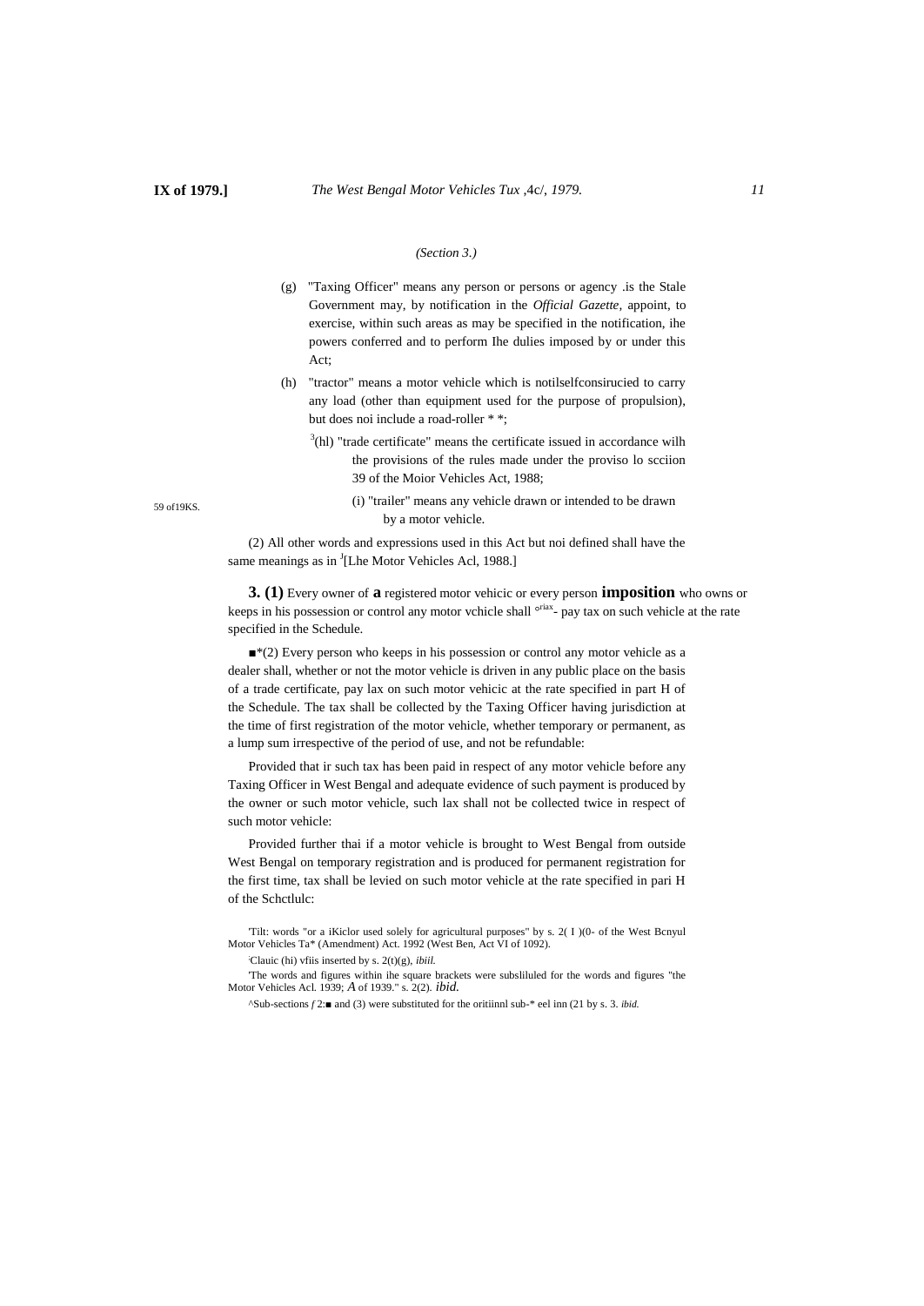#### *(Section 3.)*

- (g) "Taxing Officer" means any person or persons or agency .is the Stale Government may, by notification in the *Official Gazette,* appoint, to exercise, within such areas as may be specified in the notification, ihe powers conferred and to perform Ihe dulies imposed by or under this Act;
- (h) "tractor" means a motor vehicle which is notilselfconsirucied to carry any load (other than equipment used for the purpose of propulsion), but does noi include a road-roller \* \*;
	- $3$ (hl) "trade certificate" means the certificate issued in accordance wilh the provisions of the rules made under the proviso lo scciion 39 of the Moior Vehicles Act, 1988;
		- (i) "trailer" means any vehicle drawn or intended to be drawn by a motor vehicle.

(2) All other words and expressions used in this Act but noi defined shall have the same meanings as in <sup>J</sup>[Lhe Motor Vehicles Acl, 1988.]

**3. (1)** Every owner of **a** registered motor vehicic or every person **imposition** who owns or keeps in his possession or control any motor vchicle shall <sup>oriax</sup>- pay tax on such vehicle at the rate specified in the Schedule.

■<sup>\*(2)</sup> Every person who keeps in his possession or control any motor vehicle as a dealer shall, whether or not the motor vehicle is driven in any public place on the basis of a trade certificate, pay lax on such motor vehicic at the rate specified in part H of the Schedule. The tax shall be collected by the Taxing Officer having jurisdiction at the time of first registration of the motor vehicle, whether temporary or permanent, as a lump sum irrespective of the period of use, and not be refundable:

Provided that ir such tax has been paid in respect of any motor vehicle before any Taxing Officer in West Bengal and adequate evidence of such payment is produced by the owner or such motor vehicle, such lax shall not be collected twice in respect of such motor vehicle:

Provided further thai if a motor vehicle is brought to West Bengal from outside West Bengal on temporary registration and is produced for permanent registration for the first time, tax shall be levied on such motor vehicle at the rate specified in pari H of the Schctlulc:

'Tilt: words "or a iKiclor used solely for agricultural purposes" by s. 2( I )(0- of the West Bcnyul Motor Vehicles Ta\* (Amendment) Act. 1992 (West Ben, Act VI of 1092).

;Clauic (hi) vfiis inserted by s. 2(t)(g), *ibiil.*

'The words and figures within ihe square brackets were subsliluled for the words and figures "the Motor Vehicles Acl. 1939; *A* of 1939." s. 2(2). *ibid.*

^Sub-sections *f* 2:■ and (3) were substituted for the oritiinnl sub-\* eel inn (21 by s. 3. *ibid.*

59 of19KS.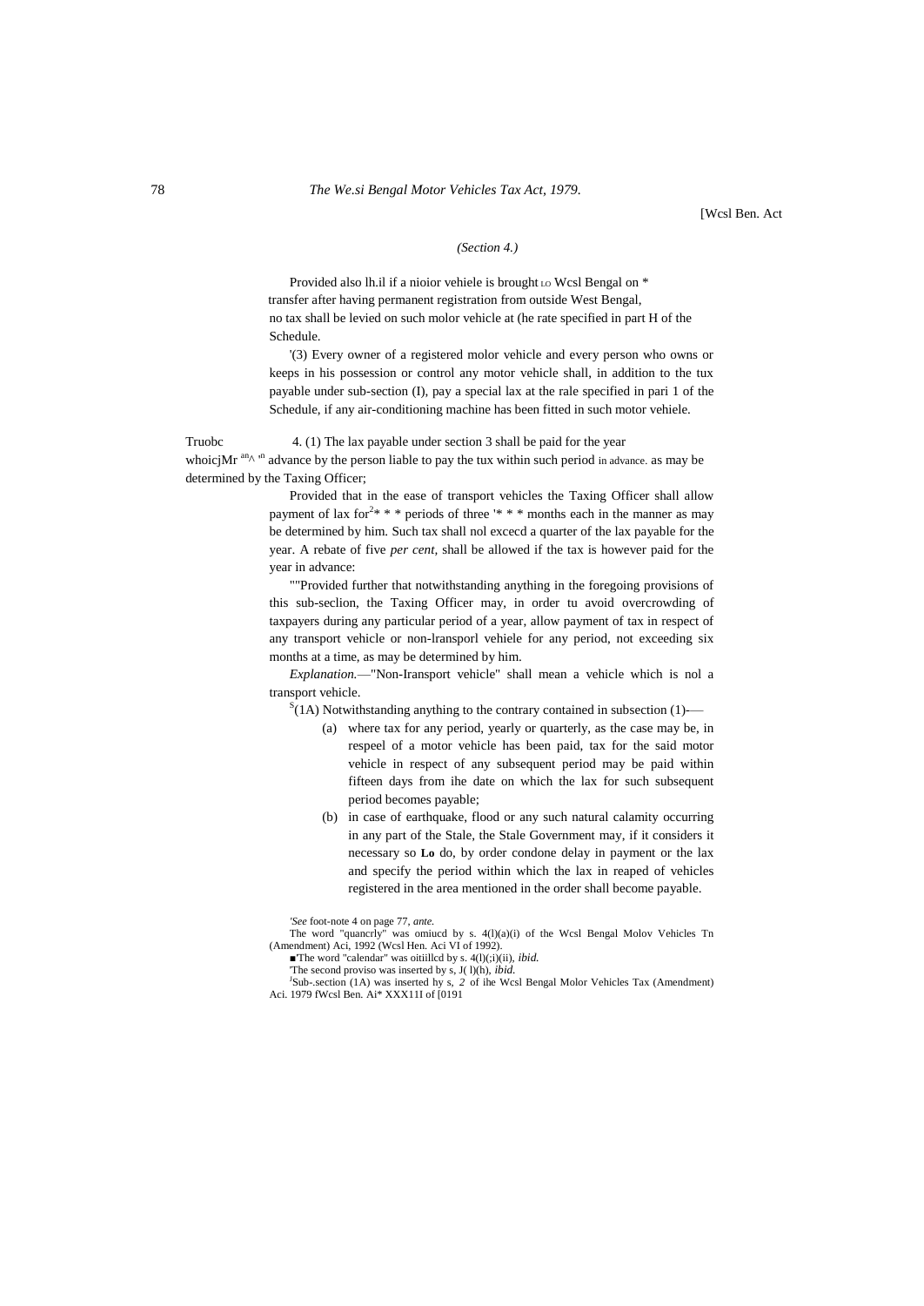#### 78 *The We.si Bengal Motor Vehicles Tax Act, 1979.*

[Wcsl Ben. Act

## *(Section 4.)*

Provided also lh.il if a nioior vehiele is brought Lo Wcsl Bengal on \* transfer after having permanent registration from outside West Bengal, no tax shall be levied on such molor vehicle at (he rate specified in part H of the Schedule.

'(3) Every owner of a registered molor vehicle and every person who owns or keeps in his possession or control any motor vehicle shall, in addition to the tux payable under sub-section (I), pay a special lax at the rale specified in pari 1 of the Schedule, if any air-conditioning machine has been fitted in such motor vehiele.

Truobc 4. (1) The lax payable under section 3 shall be paid for the year whoicjMr<sup>an</sup><sup>n</sup> advance by the person liable to pay the tux within such period in advance. as may be determined by the Taxing Officer;

> Provided that in the ease of transport vehicles the Taxing Officer shall allow payment of lax for<sup>2\*</sup> \* \* periods of three '\* \* \* months each in the manner as may be determined by him. Such tax shall nol excecd a quarter of the lax payable for the year. A rebate of five *per cent,* shall be allowed if the tax is however paid for the year in advance:

> ""Provided further that notwithstanding anything in the foregoing provisions of this sub-seclion, the Taxing Officer may, in order tu avoid overcrowding of taxpayers during any particular period of a year, allow payment of tax in respect of any transport vehicle or non-lransporl vehiele for any period, not exceeding six months at a time, as may be determined by him.

> *Explanation.*—"Non-Iransport vehicle" shall mean a vehicle which is nol a transport vehicle.

 $S(1A)$  Notwithstanding anything to the contrary contained in subsection (1)-

- (a) where tax for any period, yearly or quarterly, as the case may be, in respeel of a motor vehicle has been paid, tax for the said motor vehicle in respect of any subsequent period may be paid within fifteen days from ihe date on which the lax for such subsequent period becomes payable;
- (b) in case of earthquake, flood or any such natural calamity occurring in any part of the Stale, the Stale Government may, if it considers it necessary so **Lo** do, by order condone delay in payment or the lax and specify the period within which the lax in reaped of vehicles registered in the area mentioned in the order shall become payable.

*'See* foot-note 4 on page 77, *ante.*

The word "quancrly" was omiucd by s. 4(l)(a)(i) of the Wcsl Bengal Molov Vehicles Tn (Amendment) Aci, 1992 (Wcsl Hen. Aci VI of 1992).

■'The word "calendar" was oitiillcd by s. 4(l)(;i)(ii), *ibid.* 

'The second proviso was inserted by s, J( l)(h), *ibid.*

<sup>J</sup>Sub-.section (1A) was inserted hy s, 2 of ihe Wcsl Bengal Molor Vehicles Tax (Amendment) Aci. 1979 fWcsl Ben. Ai\* XXX11I of [0191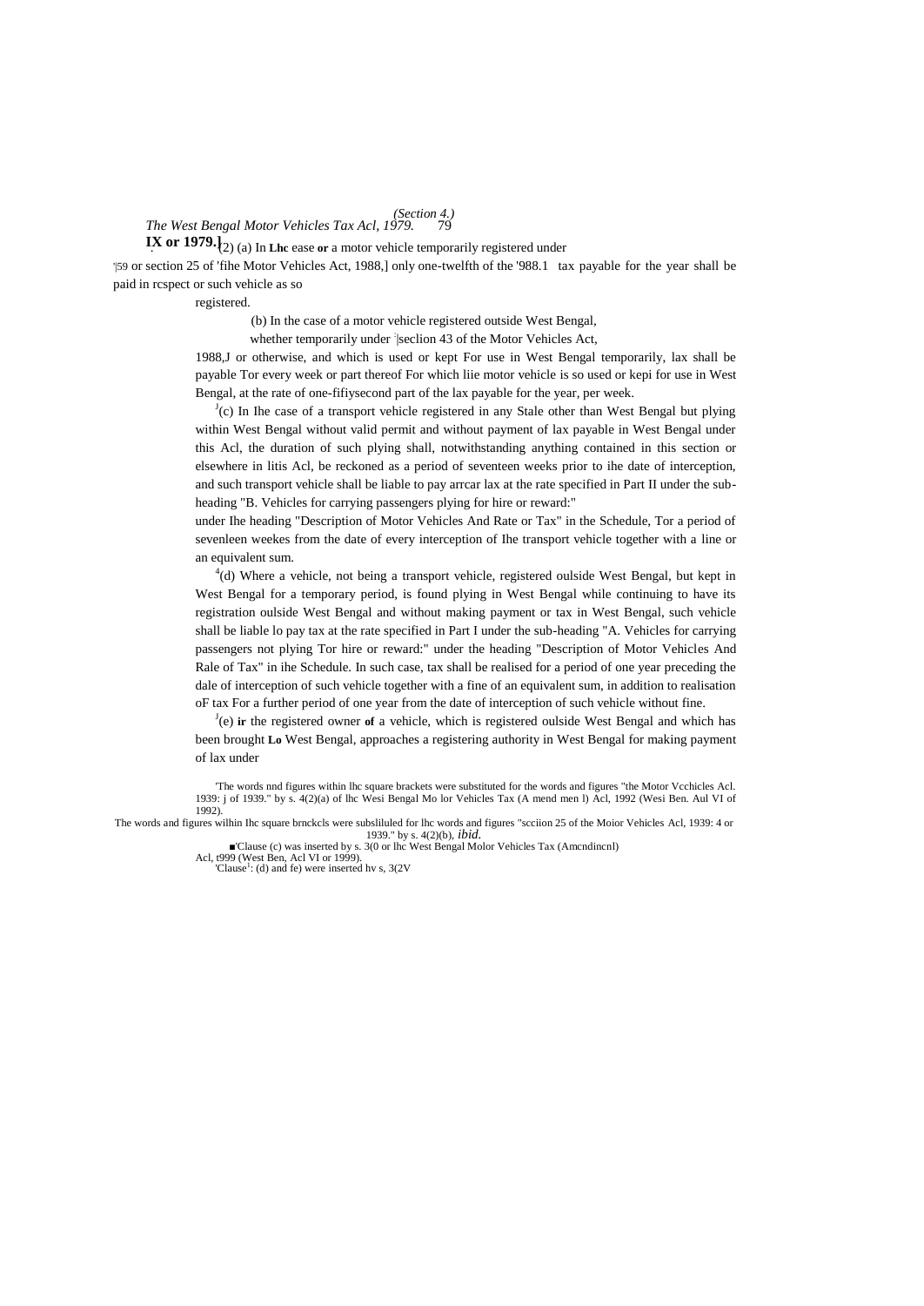# *The West Bengal Motor Vehicles Tax Acl, 1979.* 79 *(Section 4.)*

**IX or 1979.** $\left\{2\right\}$  (a) In Lhe ease or a motor vehicle temporarily registered under '|59 or section 25 of 'fihe Motor Vehicles Act, 1988,] only one-twelfth of the '988.1 tax payable for the year shall be paid in rcspect or such vehicle as so

registered.

(b) In the case of a motor vehicle registered outside West Bengal,

whether temporarily under [seclion 43 of the Motor Vehicles Act,

1988,J or otherwise, and which is used or kept For use in West Bengal temporarily, lax shall be payable Tor every week or part thereof For which liie motor vehicle is so used or kepi for use in West Bengal, at the rate of one-fifiysecond part of the lax payable for the year, per week.

 $J(c)$  In Ihe case of a transport vehicle registered in any Stale other than West Bengal but plying within West Bengal without valid permit and without payment of lax payable in West Bengal under this Acl, the duration of such plying shall, notwithstanding anything contained in this section or elsewhere in litis Acl, be reckoned as a period of seventeen weeks prior to ihe date of interception, and such transport vehicle shall be liable to pay arrcar lax at the rate specified in Part II under the subheading "B. Vehicles for carrying passengers plying for hire or reward:"

under Ihe heading "Description of Motor Vehicles And Rate or Tax" in the Schedule, Tor a period of sevenleen weekes from the date of every interception of Ihe transport vehicle together with a line or an equivalent sum.

<sup>4</sup>(d) Where a vehicle, not being a transport vehicle, registered oulside West Bengal, but kept in West Bengal for a temporary period, is found plying in West Bengal while continuing to have its registration oulside West Bengal and without making payment or tax in West Bengal, such vehicle shall be liable lo pay tax at the rate specified in Part I under the sub-heading "A. Vehicles for carrying passengers not plying Tor hire or reward:" under the heading "Description of Motor Vehicles And Rale of Tax" in ihe Schedule. In such case, tax shall be realised for a period of one year preceding the dale of interception of such vehicle together with a fine of an equivalent sum, in addition to realisation oF tax For a further period of one year from the date of interception of such vehicle without fine.

J (e) **ir** the registered owner **of** a vehicle, which is registered oulside West Bengal and which has been brought **Lo** West Bengal, approaches a registering authority in West Bengal for making payment of lax under

'The words nnd figures within lhc square brackets were substituted for the words and figures "the Motor Vcchicles Acl. 1939: j of 1939." by s. 4(2)(a) of lhc Wesi Bengal Mo lor Vehicles Tax (A mend men l) Acl, 1992 (Wesi Ben. Aul VI of 1992).

The words and figures wilhin Ihc square brnckcls were subsliluled for lhc words and figures "scciion 25 of the Moior Vehicles Acl, 1939: 4 or 1939." by s. 4(2)(b), *ibid.* ■'Clause (c) was inserted by s. 3(0 or lhc West Bengal Molor Vehicles Tax (Amcndincnl)

Acl, t999 (West Ben, Acl VI or 1999).

<sup>&#</sup>x27;Clause<sup>1</sup>: (d) and fe) were inserted hv s,  $3(2V)$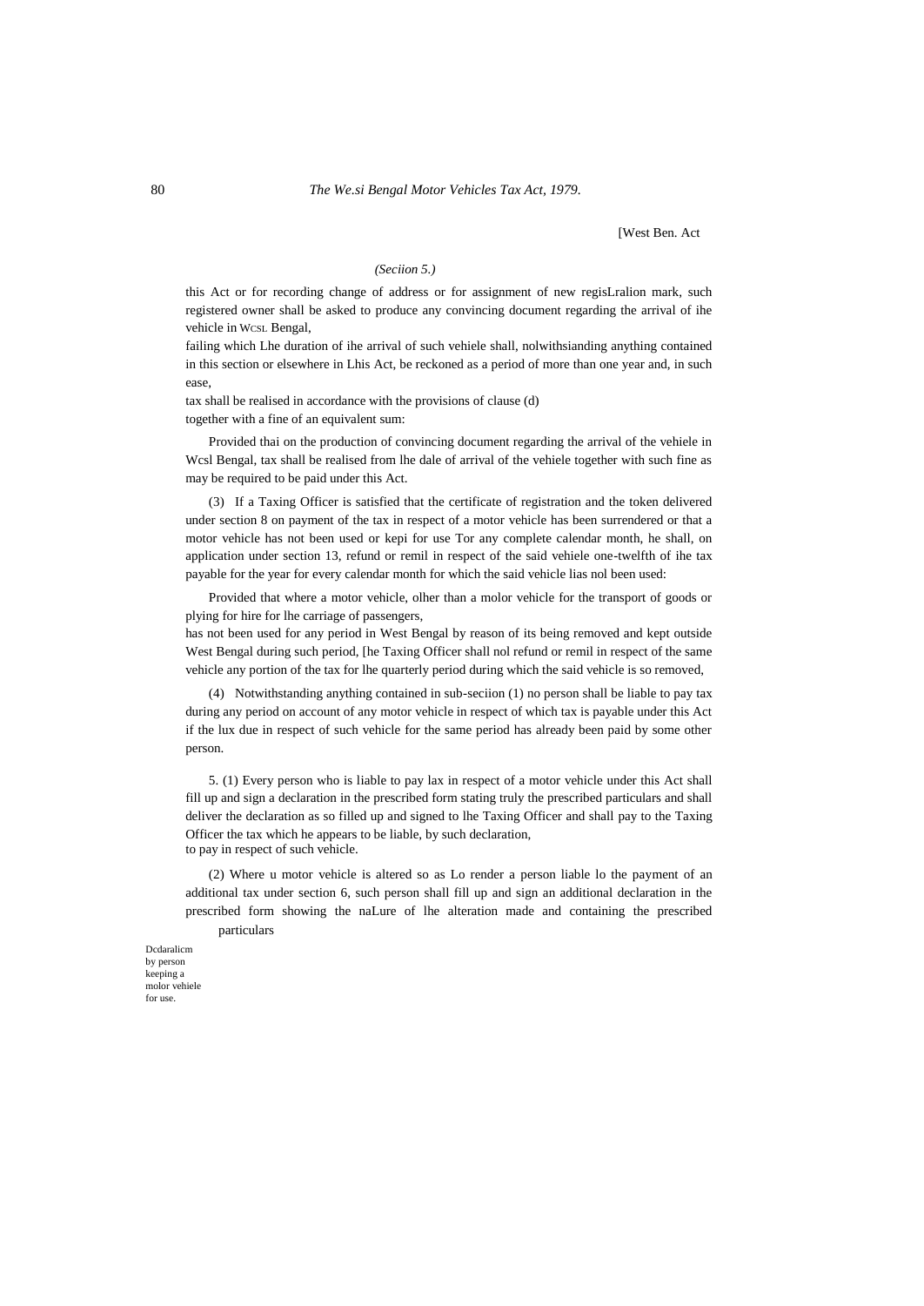[West Ben. Act

## *(Seciion 5.)*

this Act or for recording change of address or for assignment of new regisLralion mark, such registered owner shall be asked to produce any convincing document regarding the arrival of ihe vehicle in WCSL Bengal,

failing which Lhe duration of ihe arrival of such vehiele shall, nolwithsianding anything contained in this section or elsewhere in Lhis Act, be reckoned as a period of more than one year and, in such ease,

tax shall be realised in accordance with the provisions of clause (d) together with a fine of an equivalent sum:

Provided thai on the production of convincing document regarding the arrival of the vehiele in Wcsl Bengal, tax shall be realised from lhe dale of arrival of the vehiele together with such fine as may be required to be paid under this Act.

(3) If a Taxing Officer is satisfied that the certificate of registration and the token delivered under section 8 on payment of the tax in respect of a motor vehicle has been surrendered or that a motor vehicle has not been used or kepi for use Tor any complete calendar month, he shall, on application under section 13, refund or remil in respect of the said vehiele one-twelfth of ihe tax payable for the year for every calendar month for which the said vehicle lias nol been used:

Provided that where a motor vehicle, olher than a molor vehicle for the transport of goods or plying for hire for lhe carriage of passengers,

has not been used for any period in West Bengal by reason of its being removed and kept outside West Bengal during such period, [he Taxing Officer shall nol refund or remil in respect of the same vehicle any portion of the tax for lhe quarterly period during which the said vehicle is so removed,

(4) Notwithstanding anything contained in sub-seciion (1) no person shall be liable to pay tax during any period on account of any motor vehicle in respect of which tax is payable under this Act if the lux due in respect of such vehicle for the same period has already been paid by some other person.

5. (1) Every person who is liable to pay lax in respect of a motor vehicle under this Act shall fill up and sign a declaration in the prescribed form stating truly the prescribed particulars and shall deliver the declaration as so filled up and signed to lhe Taxing Officer and shall pay to the Taxing Officer the tax which he appears to be liable, by such declaration, to pay in respect of such vehicle.

(2) Where u motor vehicle is altered so as Lo render a person liable lo the payment of an additional tax under section 6, such person shall fill up and sign an additional declaration in the prescribed form showing the naLure of lhe alteration made and containing the prescribed particulars

Dcdaralicm by person keeping a molor vehiele for use.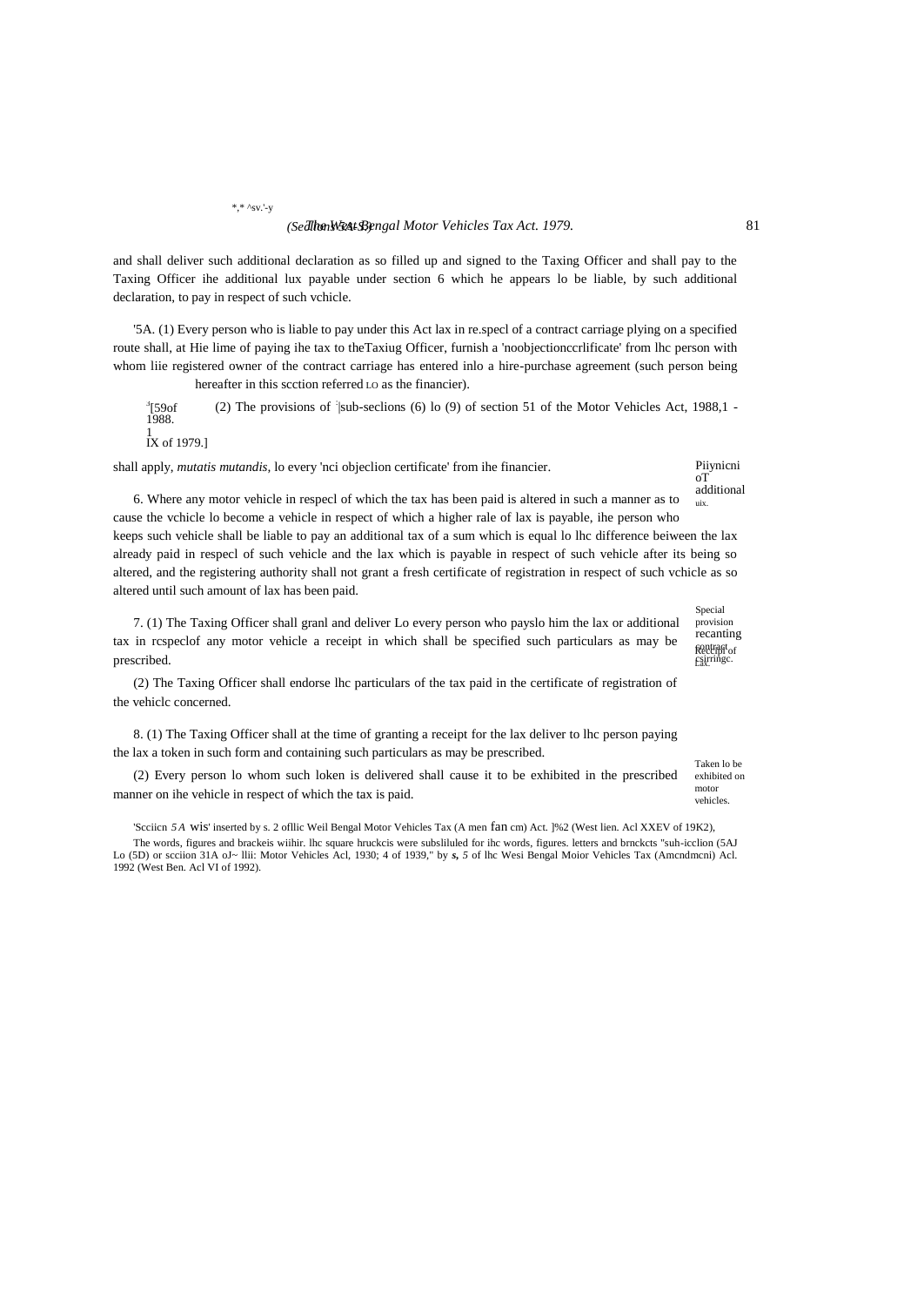and shall deliver such additional declaration as so filled up and signed to the Taxing Officer and shall pay to the Taxing Officer ihe additional lux payable under section 6 which he appears lo be liable, by such additional declaration, to pay in respect of such vchicle.

'5A. (1) Every person who is liable to pay under this Act lax in re.specl of a contract carriage plying on a specified route shall, at Hie lime of paying ihe tax to theTaxiug Officer, furnish a 'noobjectionccrlificate' from lhc person with whom liie registered owner of the contract carriage has entered inlo a hire-purchase agreement (such person being hereafter in this scction referred Lo as the financier).

3 [59of 1988. (2) The provisions of  $\exists$ sub-seclions (6) lo (9) of section 51 of the Motor Vehicles Act, 1988,1 -

1 IX of 1979.]

prescribed.

shall apply, *mutatis mutandis,* lo every 'nci objeclion certificate' from ihe financier.

#### Piiynicni oT additional uix.

6. Where any motor vehicle in respecl of which the tax has been paid is altered in such a manner as to cause the vchicle lo become a vehicle in respect of which a higher rale of lax is payable, ihe person who keeps such vehicle shall be liable to pay an additional tax of a sum which is equal lo lhc difference beiween the lax already paid in respecl of such vehicle and the lax which is payable in respect of such vehicle after its being so

altered, and the registering authority shall not grant a fresh certificate of registration in respect of such vchicle as so

Reccipl of contract Special provision recanting altered until such amount of lax has been paid. 7. (1) The Taxing Officer shall granl and deliver Lo every person who payslo him the lax or additional tax in rcspeclof any motor vehicle a receipt in which shall be specified such particulars as may be

(2) The Taxing Officer shall endorse lhc particulars of the tax paid in the certificate of registration of the vehiclc concerned.

8. (1) The Taxing Officer shall at the time of granting a receipt for the lax deliver to lhc person paying the lax a token in such form and containing such particulars as may be prescribed.

(2) Every person lo whom such loken is delivered shall cause it to be exhibited in the prescribed manner on ihe vehicle in respect of which the tax is paid.

Taken lo be exhibited on motor vehicles.

Lax. csirringc.

'Scciicn *5 A* wis' inserted by s. 2 ofllic Weil Bengal Motor Vehicles Tax (A men fan cm) Act. ]%2 (West lien. Acl XXEV of 19K2), The words, figures and brackeis wiihir. lhc square hruckcis were subsliluled for ihc words, figures. letters and brnckcts "suh-icclion (5AJ Lo (5D) or scciion 31A oJ~ llii: Motor Vehicles Acl, 1930; 4 of 1939," by *s, 5* of lhc Wesi Bengal Moior Vehicles Tax (Amcndmcni) Acl. 1992 (West Ben. Acl VI of 1992).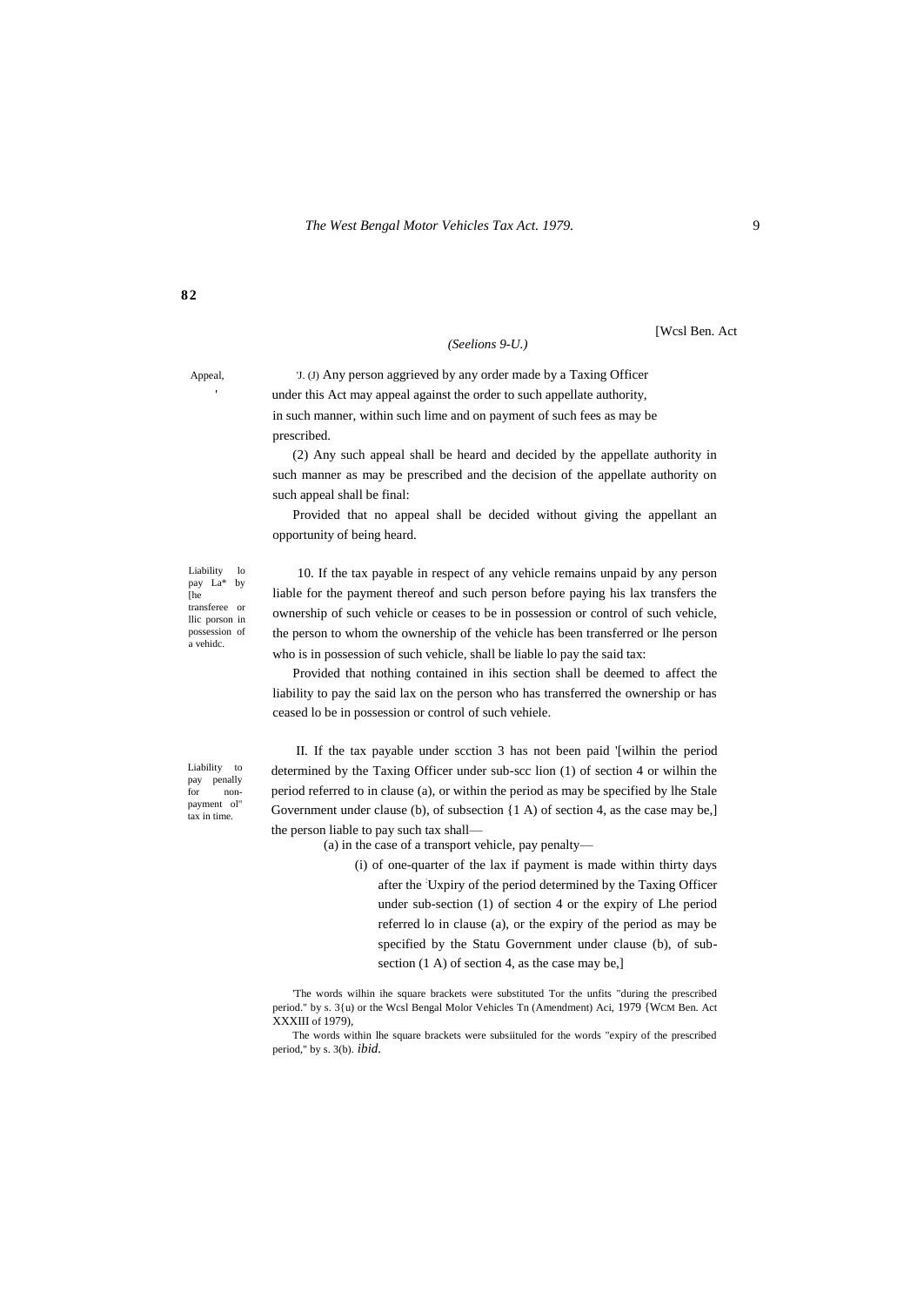**82**

#### *(Seelions 9-U.)*

[Wcsl Ben. Act

Appeal, 'J. (J) Any person aggrieved by any order made by a Taxing Officer under this Act may appeal against the order to such appellate authority, in such manner, within such lime and on payment of such fees as may be prescribed.

> (2) Any such appeal shall be heard and decided by the appellate authority in such manner as may be prescribed and the decision of the appellate authority on such appeal shall be final:

> Provided that no appeal shall be decided without giving the appellant an opportunity of being heard.

Liability lo<br>pay La\* by pay La\* [he] transferee or llic porson in possession of a vehidc.

10. If the tax payable in respect of any vehicle remains unpaid by any person liable for the payment thereof and such person before paying his lax transfers the ownership of such vehicle or ceases to be in possession or control of such vehicle, the person to whom the ownership of the vehicle has been transferred or lhe person who is in possession of such vehicle, shall be liable lo pay the said tax:

Provided that nothing contained in ihis section shall be deemed to affect the liability to pay the said lax on the person who has transferred the ownership or has ceased lo be in possession or control of such vehiele.

Liability to pay penally<br>for nonfor nonpayment ol" tax in time.

II. If the tax payable under scction 3 has not been paid '[wilhin the period determined by the Taxing Officer under sub-scc lion (1) of section 4 or wilhin the period referred to in clause (a), or within the period as may be specified by lhe Stale Government under clause (b), of subsection {1 A) of section 4, as the case may be,] the person liable to pay such tax shall—

(a) in the case of a transport vehicle, pay penalty—

(i) of one-quarter of the lax if payment is made within thirty days after the :Uxpiry of the period determined by the Taxing Officer under sub-section (1) of section 4 or the expiry of Lhe period referred lo in clause (a), or the expiry of the period as may be specified by the Statu Government under clause (b), of subsection (1 A) of section 4, as the case may be,]

'The words wilhin ihe square brackets were substituted Tor the unfits "during the prescribed period." by s. 3{u) or the Wcsl Bengal Molor Vehicles Tn (Amendment) Aci, 1979 {WCM Ben. Act XXXIII of 1979),

The words within lhe square brackets were subsiituled for the words "expiry of the prescribed period," by s. 3(b). *ibid.*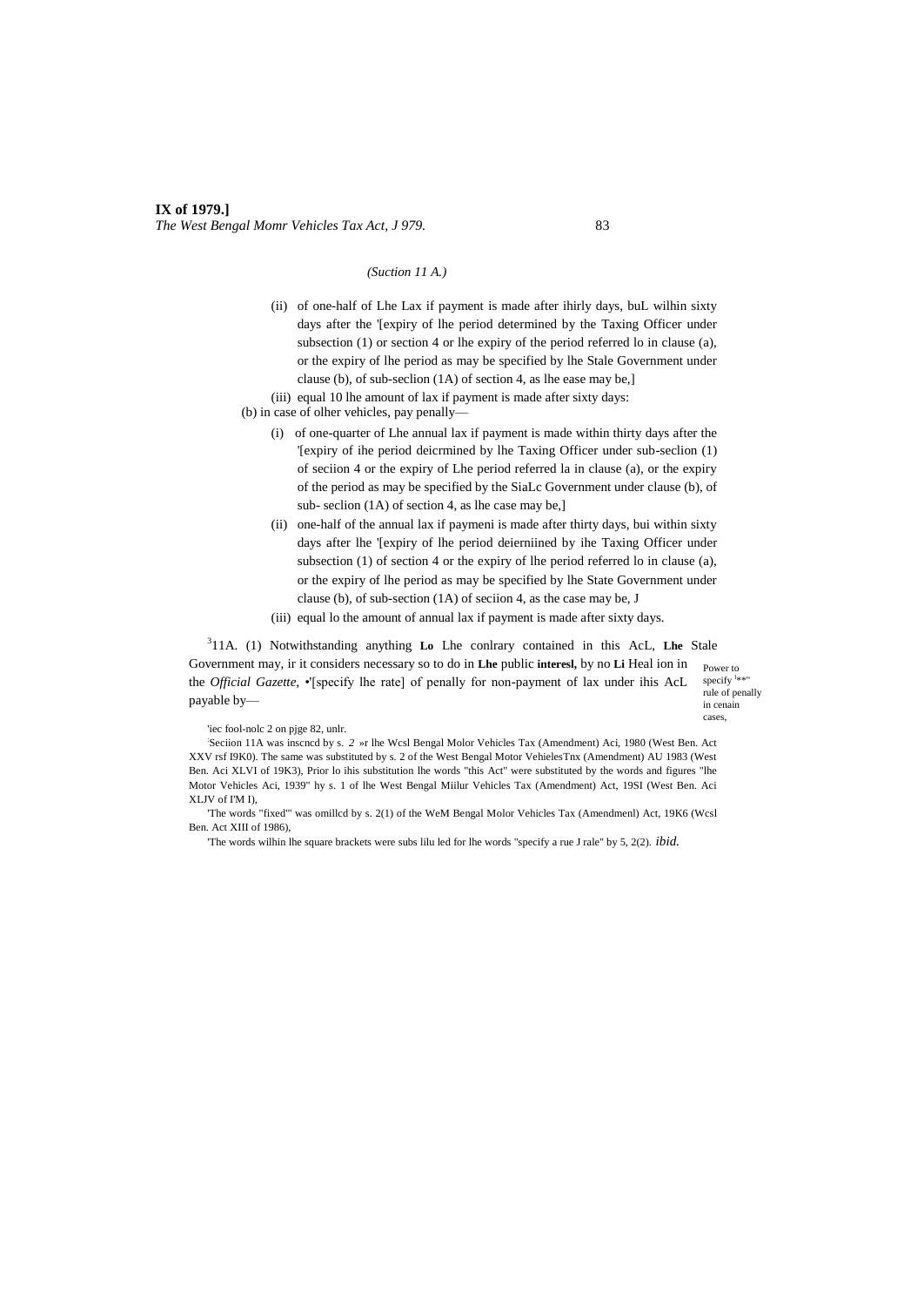## **IX of 1979.]** *The West Bengal Momr Vehicles Tax Act, J 979.* 83

#### *(Suction 11 A.)*

(ii) of one-half of Lhe Lax if payment is made after ihirly days, buL wilhin sixty days after the '[expiry of lhe period determined by the Taxing Officer under subsection (1) or section 4 or lhe expiry of the period referred lo in clause (a), or the expiry of lhe period as may be specified by lhe Stale Government under clause (b), of sub-seclion (1A) of section 4, as lhe ease may be,]

(iii) equal 10 lhe amount of lax if payment is made after sixty days:

- (b) in case of olher vehicles, pay penally—
	- (i) of one-quarter of Lhe annual lax if payment is made within thirty days after the '[expiry of ihe period deicrmined by lhe Taxing Officer under sub-seclion (1) of seciion 4 or the expiry of Lhe period referred la in clause (a), or the expiry of the period as may be specified by the SiaLc Government under clause (b), of sub- seclion (1A) of section 4, as lhe case may be,]
	- (ii) one-half of the annual lax if paymeni is made after thirty days, bui within sixty days after lhe '[expiry of lhe period deierniined by ihe Taxing Officer under subsection (1) of section 4 or the expiry of lhe period referred lo in clause (a), or the expiry of lhe period as may be specified by lhe State Government under clause (b), of sub-section (1A) of seciion 4, as the case may be, J
	- (iii) equal lo the amount of annual lax if payment is made after sixty days.

3 11A. (1) Notwithstanding anything **Lo** Lhe conlrary contained in this AcL, **Lhe** Stale Government may, ir it considers necessary so to do in **Lhe** public **interesl,** by no **Li** Heal ion in the *Official Gazette,* •'[specify lhe rate] of penally for non-payment of lax under ihis AcL payable by—

Power to specify  $\frac{1}{2}$ \*" rule of penally in cenain cases,

'iec fool-nolc 2 on pjge 82, unlr.

: Seciion 11A was inscncd by s. *2* »r lhe Wcsl Bengal Molor Vehicles Tax (Amendment) Aci, 1980 (West Ben. Act XXV rsf I9K0). The same was substituted by s. 2 of the West Bengal Motor VehielesTnx (Amendment) AU 1983 (West Ben. Aci XLVI of 19K3), Prior lo ihis substitution lhe words "this Act" were substituted by the words and figures "lhe Motor Vehicles Aci, 1939" hy s. 1 of lhe West Bengal Miilur Vehicles Tax (Amendment) Act, 19SI (West Ben. Aci XLJV of I'M I),

'The words "fixed'" was omillcd by s. 2(1) of the WeM Bengal Molor Vehicles Tax (Amendmenl) Act, 19K6 (Wcsl Ben. Act XIII of 1986),

'The words wilhin lhe square brackets were subs lilu led for lhe words "specify a rue J rale" by 5, 2(2). *ibid.*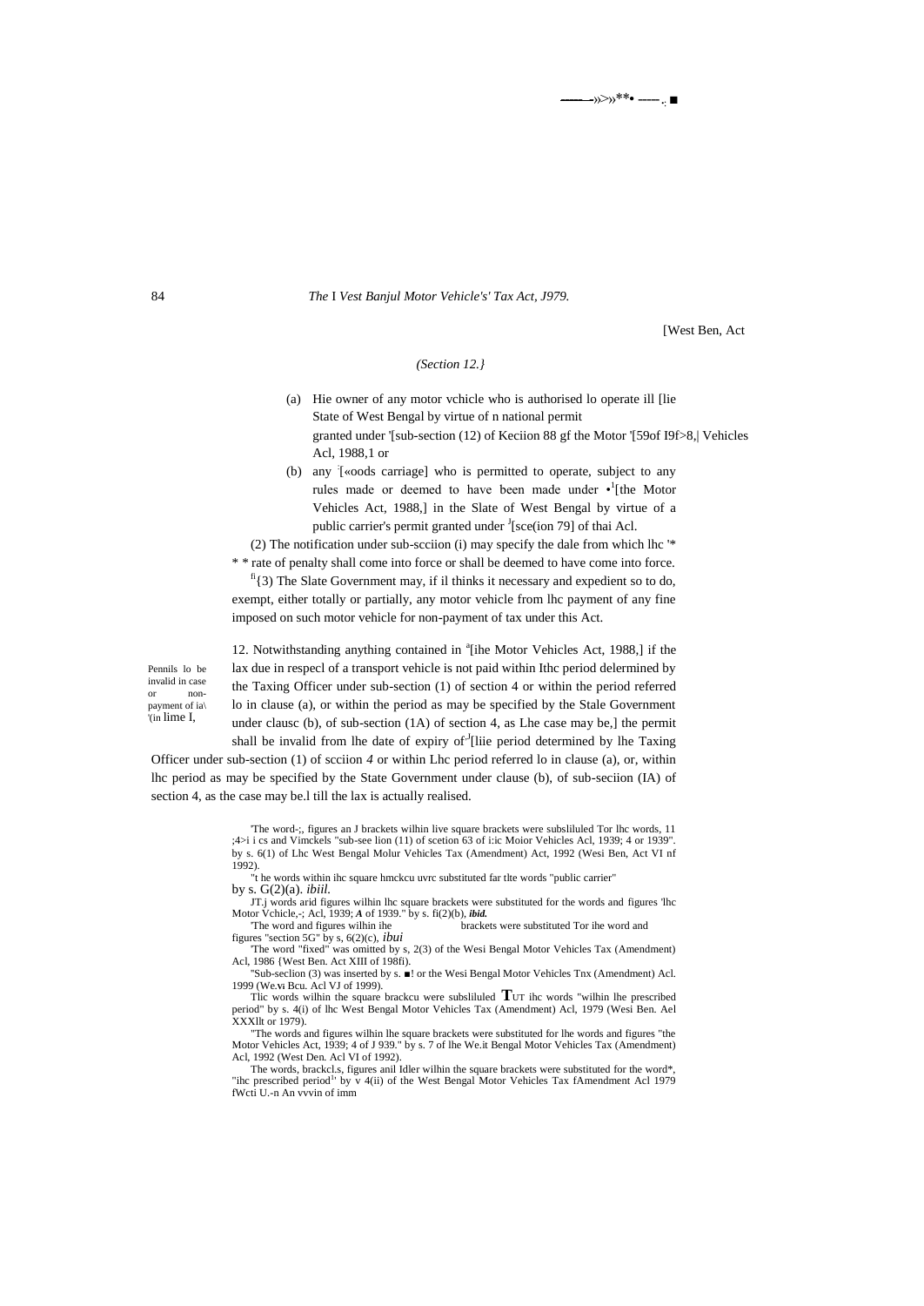-<sup>>>>>></sub>\*\*• ----- .. ■</sup>

84 *The* I *Vest Banjul Motor Vehicle's' Tax Act, J979.*

[West Ben, Act

## *(Section 12.}*

- (a) Hie owner of any motor vchicle who is authorised lo operate ill [lie State of West Bengal by virtue of n national permit granted under '[sub-section (12) of Keciion 88 gf the Motor '[59of I9f>8,| Vehicles Acl, 1988,1 or
- (b) any : [«oods carriage] who is permitted to operate, subject to any rules made or deemed to have been made under  $\cdot$ <sup>1</sup>[the Motor Vehicles Act, 1988,] in the Slate of West Bengal by virtue of a public carrier's permit granted under <sup>J</sup>[sce(ion 79] of thai Acl.

(2) The notification under sub-scciion (i) may specify the dale from which lhc '\* \* \* rate of penalty shall come into force or shall be deemed to have come into force.

 $f<sup>f</sup>(3)$  The Slate Government may, if il thinks it necessary and expedient so to do, exempt, either totally or partially, any motor vehicle from lhc payment of any fine imposed on such motor vehicle for non-payment of tax under this Act.

Pennils lo be invalid in case or nonpayment of ia\ '(in lime I,

12. Notwithstanding anything contained in <sup>a</sup>[ihe Motor Vehicles Act, 1988,] if the lax due in respecl of a transport vehicle is not paid within Ithc period delermined by the Taxing Officer under sub-section (1) of section 4 or within the period referred lo in clause (a), or within the period as may be specified by the Stale Government under clausc (b), of sub-section (1A) of section 4, as Lhe case may be,] the permit shall be invalid from lhe date of expiry of  $J$ [liie period determined by lhe Taxing

Officer under sub-section (1) of scciion *4* or within Lhc period referred lo in clause (a), or, within lhc period as may be specified by the State Government under clause (b), of sub-seciion (IA) of section 4, as the case may be.l till the lax is actually realised.

> 'The word-;, figures an J brackets wilhin live square brackets were subsliluled Tor lhc words, 11 ;4>i i cs and Vimckels "sub-see lion (11) of scetion 63 of i:ic Moior Vehicles Acl, 1939; 4 or 1939". by s. 6(1) of Lhc West Bengal Molur Vehicles Tax (Amendment) Act, 1992 (Wesi Ben, Act VI nf 1992).

"t he words within ihc square hmckcu uvrc substituted far tlte words "public carrier" by s. G(2)(a). *ibiil.*

JT.j words arid figures wilhin lhc square brackets were substituted for the words and figures 'lhc Motor Vchicle,-; Acl, 1939; *A* of 1939." by s. fi(2)(b), *ibid.*

'The word and figures wilhin ihe brackets were substituted Tor ihe word and figures "section 5G" by s, 6(2)(c), *ibui*

'The word "fixed" was omitted by s, 2(3) of the Wesi Bengal Motor Vehicles Tax (Amendment) Acl, 1986 {West Ben. Act XIII of 198fi).

''Sub-seclion (3) was inserted by s. ■! or the Wesi Bengal Motor Vehicles Tnx (Amendment) Acl. 1999 (We**.Vi** Bcu. Acl VJ of 1999). Tlic words wilhin the square brackcu were subsliluled **T**UT ihc words "wilhin lhe prescribed

period" by s. 4(i) of lhc West Bengal Motor Vehicles Tax (Amendment) Acl, 1979 (Wesi Ben. Ael XXXllt or 1979).

"The words and figures wilhin lhe square brackets were substituted for lhe words and figures "the Motor Vehicles Act, 1939; 4 of J 939." by s. 7 of lhe We.it Bengal Motor Vehicles Tax (Amendment) Acl, 1992 (West Den. Acl VI of 1992).

The words, brackcl.s, figures anil Idler wilhin the square brackets were substituted for the word\*, "ihc prescribed period<sup>1</sup>' by v  $4(i)$  of the West Bengal Motor Vehicles Tax fAmendment Acl 1979 fWcti U.-n An vvvin of imm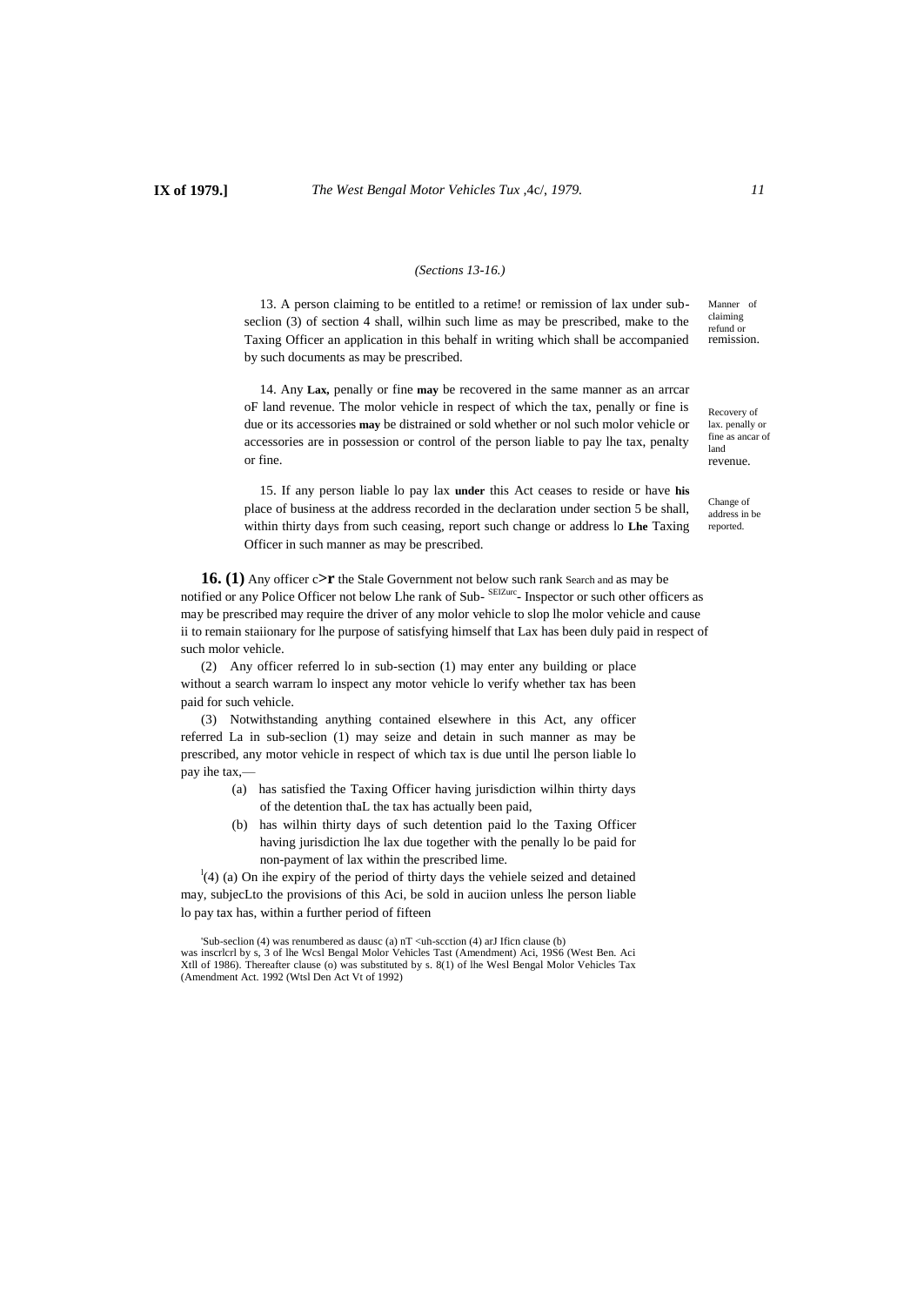#### *(Sections 13-16.)*

13. A person claiming to be entitled to a retime! or remission of lax under subseclion (3) of section 4 shall, wilhin such lime as may be prescribed, make to the Taxing Officer an application in this behalf in writing which shall be accompanied by such documents as may be prescribed.

14. Any **Lax,** penally or fine **may** be recovered in the same manner as an arrcar oF land revenue. The molor vehicle in respect of which the tax, penally or fine is due or its accessories **may** be distrained or sold whether or nol such molor vehicle or accessories are in possession or control of the person liable to pay lhe tax, penalty or fine.

15. If any person liable lo pay lax **under** this Act ceases to reside or have **his** place of business at the address recorded in the declaration under section 5 be shall, within thirty days from such ceasing, report such change or address lo **Lhe** Taxing Officer in such manner as may be prescribed.

**16. (1)** Any officer c**>r** the Stale Government not below such rank Search and as may be notified or any Police Officer not below Lhe rank of Sub-<sup>SEIZurc</sup>- Inspector or such other officers as may be prescribed may require the driver of any molor vehicle to slop lhe molor vehicle and cause ii to remain staiionary for lhe purpose of satisfying himself that Lax has been duly paid in respect of such molor vehicle.

(2) Any officer referred lo in sub-section (1) may enter any building or place without a search warram lo inspect any motor vehicle lo verify whether tax has been paid for such vehicle.

(3) Notwithstanding anything contained elsewhere in this Act, any officer referred La in sub-seclion (1) may seize and detain in such manner as may be prescribed, any motor vehicle in respect of which tax is due until lhe person liable lo pay ihe tax,—

- (a) has satisfied the Taxing Officer having jurisdiction wilhin thirty days of the detention thaL the tax has actually been paid,
- (b) has wilhin thirty days of such detention paid lo the Taxing Officer having jurisdiction lhe lax due together with the penally lo be paid for non-payment of lax within the prescribed lime.

 $l$ <sup>1</sup>(4) (a) On ihe expiry of the period of thirty days the vehiele seized and detained may, subjecLto the provisions of this Aci, be sold in auciion unless lhe person liable lo pay tax has, within a further period of fifteen

'Sub-seclion (4) was renumbered as dausc (a)  $nT <$ uh-scction (4) arJ Ificn clause (b) was inscrlcrl by s, 3 of lhe Wcsl Bengal Molor Vehicles Tast (Amendment) Aci, 19S6 (West Ben. Aci Xtll of 1986). Thereafter clause (o) was substituted by s. 8(1) of lhe Wesl Bengal Molor Vehicles Tax (Amendment Act. 1992 (Wtsl Den Act Vt of 1992)

Manner of claiming refund or remission.

Recovery of lax. penally or fine as ancar of land revenue.

Change of address in be reported.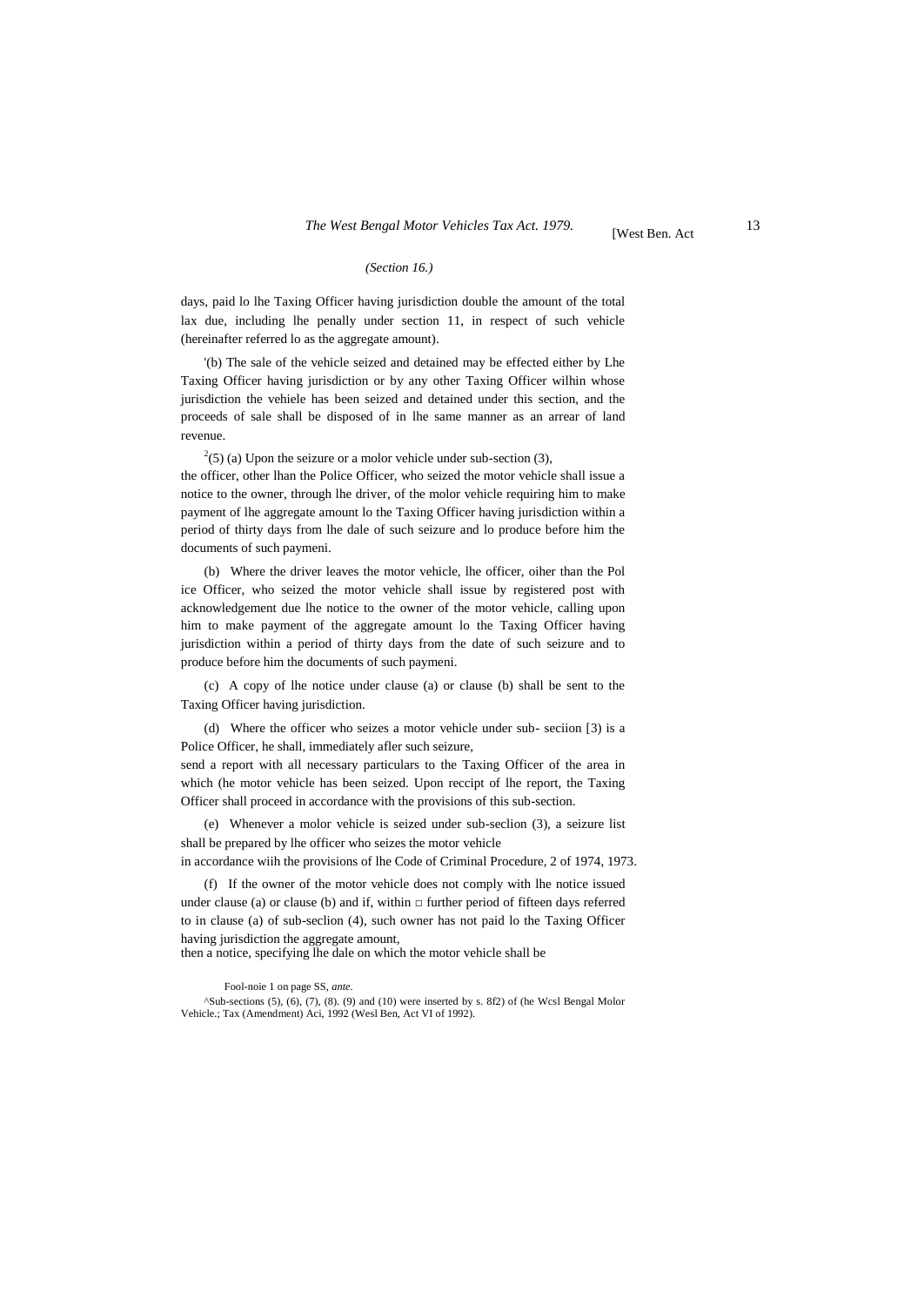#### *(Section 16.)*

days, paid lo lhe Taxing Officer having jurisdiction double the amount of the total lax due, including lhe penally under section 11, in respect of such vehicle (hereinafter referred lo as the aggregate amount).

'(b) The sale of the vehicle seized and detained may be effected either by Lhe Taxing Officer having jurisdiction or by any other Taxing Officer wilhin whose jurisdiction the vehiele has been seized and detained under this section, and the proceeds of sale shall be disposed of in lhe same manner as an arrear of land revenue.

 $2(5)$  (a) Upon the seizure or a molor vehicle under sub-section (3),

the officer, other lhan the Police Officer, who seized the motor vehicle shall issue a notice to the owner, through lhe driver, of the molor vehicle requiring him to make payment of lhe aggregate amount lo the Taxing Officer having jurisdiction within a period of thirty days from lhe dale of such seizure and lo produce before him the documents of such paymeni.

(b) Where the driver leaves the motor vehicle, lhe officer, oiher than the Pol ice Officer, who seized the motor vehicle shall issue by registered post with acknowledgement due lhe notice to the owner of the motor vehicle, calling upon him to make payment of the aggregate amount lo the Taxing Officer having jurisdiction within a period of thirty days from the date of such seizure and to produce before him the documents of such paymeni.

(c) A copy of lhe notice under clause (a) or clause (b) shall be sent to the Taxing Officer having jurisdiction.

(d) Where the officer who seizes a motor vehicle under sub- seciion [3) is a Police Officer, he shall, immediately afler such seizure,

send a report with all necessary particulars to the Taxing Officer of the area in which (he motor vehicle has been seized. Upon reccipt of lhe report, the Taxing Officer shall proceed in accordance with the provisions of this sub-section.

(e) Whenever a molor vehicle is seized under sub-seclion (3), a seizure list shall be prepared by lhe officer who seizes the motor vehicle in accordance wiih the provisions of lhe Code of Criminal Procedure, 2 of 1974, 1973.

(f) If the owner of the motor vehicle does not comply with lhe notice issued under clause (a) or clause (b) and if, within  $\Box$  further period of fifteen days referred to in clause (a) of sub-seclion (4), such owner has not paid lo the Taxing Officer having jurisdiction the aggregate amount,

then a notice, specifying lhe dale on which the motor vehicle shall be

Fool-noie 1 on page SS, *ante.*

^Sub-sections (5), (6), (7), (8). (9) and (10) were inserted by s. 8f2) of (he Wcsl Bengal Molor Vehicle.; Tax (Amendment) Aci, 1992 (Wesl Ben, Act VI of 1992).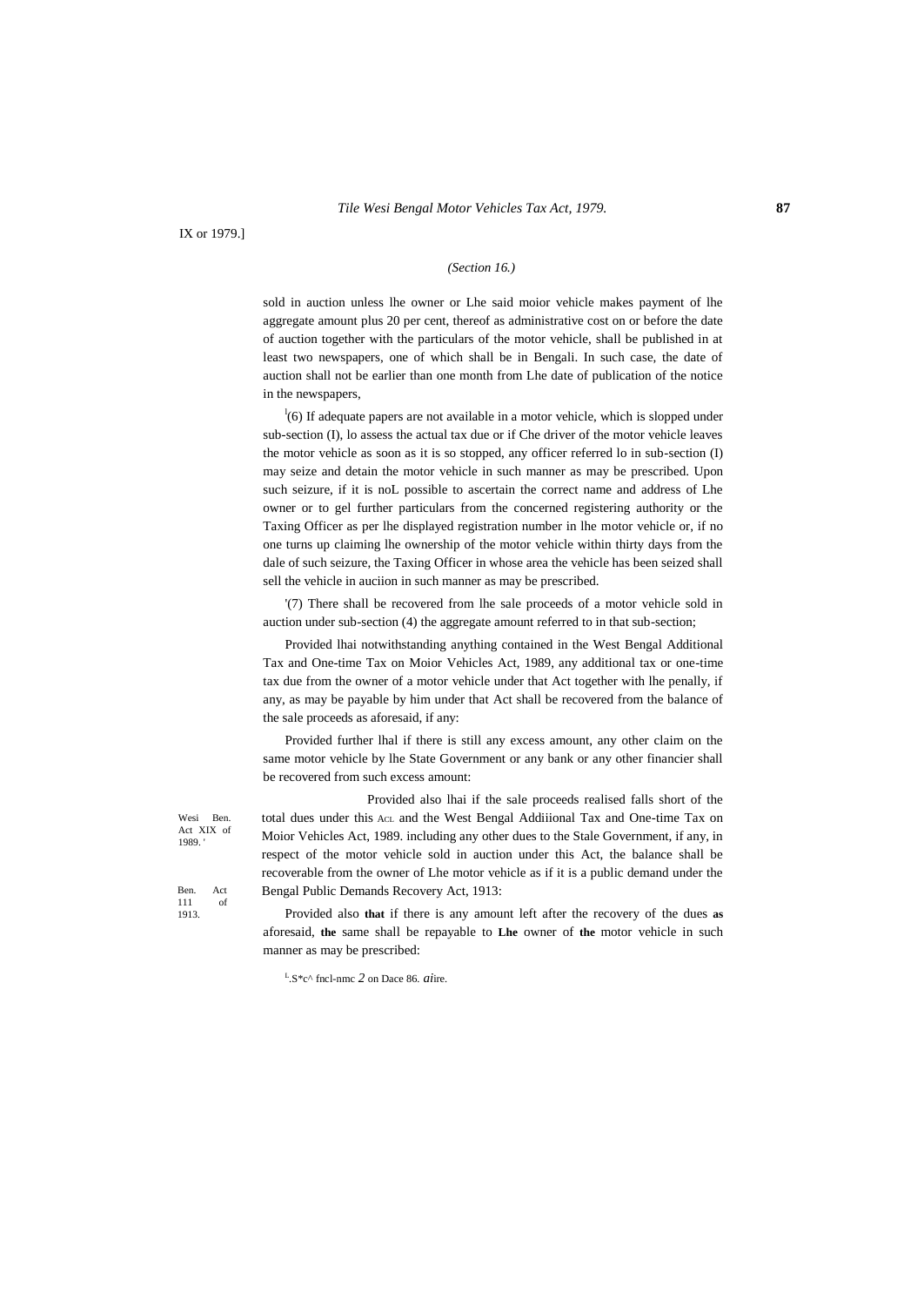IX or 1979.]

#### *(Section 16.)*

sold in auction unless lhe owner or Lhe said moior vehicle makes payment of lhe aggregate amount plus 20 per cent, thereof as administrative cost on or before the date of auction together with the particulars of the motor vehicle, shall be published in at least two newspapers, one of which shall be in Bengali. In such case, the date of auction shall not be earlier than one month from Lhe date of publication of the notice in the newspapers,

 $\frac{1}{16}$  If adequate papers are not available in a motor vehicle, which is slopped under sub-section (I), lo assess the actual tax due or if Che driver of the motor vehicle leaves the motor vehicle as soon as it is so stopped, any officer referred lo in sub-section (I) may seize and detain the motor vehicle in such manner as may be prescribed. Upon such seizure, if it is noL possible to ascertain the correct name and address of Lhe owner or to gel further particulars from the concerned registering authority or the Taxing Officer as per lhe displayed registration number in lhe motor vehicle or, if no one turns up claiming lhe ownership of the motor vehicle within thirty days from the dale of such seizure, the Taxing Officer in whose area the vehicle has been seized shall sell the vehicle in auciion in such manner as may be prescribed.

'(7) There shall be recovered from lhe sale proceeds of a motor vehicle sold in auction under sub-section (4) the aggregate amount referred to in that sub-section;

Provided lhai notwithstanding anything contained in the West Bengal Additional Tax and One-time Tax on Moior Vehicles Act, 1989, any additional tax or one-time tax due from the owner of a motor vehicle under that Act together with lhe penally, if any, as may be payable by him under that Act shall be recovered from the balance of the sale proceeds as aforesaid, if any:

Provided further lhal if there is still any excess amount, any other claim on the same motor vehicle by lhe State Government or any bank or any other financier shall be recovered from such excess amount:

Provided also lhai if the sale proceeds realised falls short of the total dues under this ACL and the West Bengal Addiiional Tax and One-time Tax on Moior Vehicles Act, 1989. including any other dues to the Stale Government, if any, in respect of the motor vehicle sold in auction under this Act, the balance shall be recoverable from the owner of Lhe motor vehicle as if it is a public demand under the Bengal Public Demands Recovery Act, 1913:

Provided also **that** if there is any amount left after the recovery of the dues **as** aforesaid, **the** same shall be repayable to **Lhe** owner of **the** motor vehicle in such manner as may be prescribed:

L .S\*c^ fncl-nmc *2* on Dace 86. *ai*ire.

Wesi Ben. Act XIX of 1989. '

Ben. Act 111 of 1913.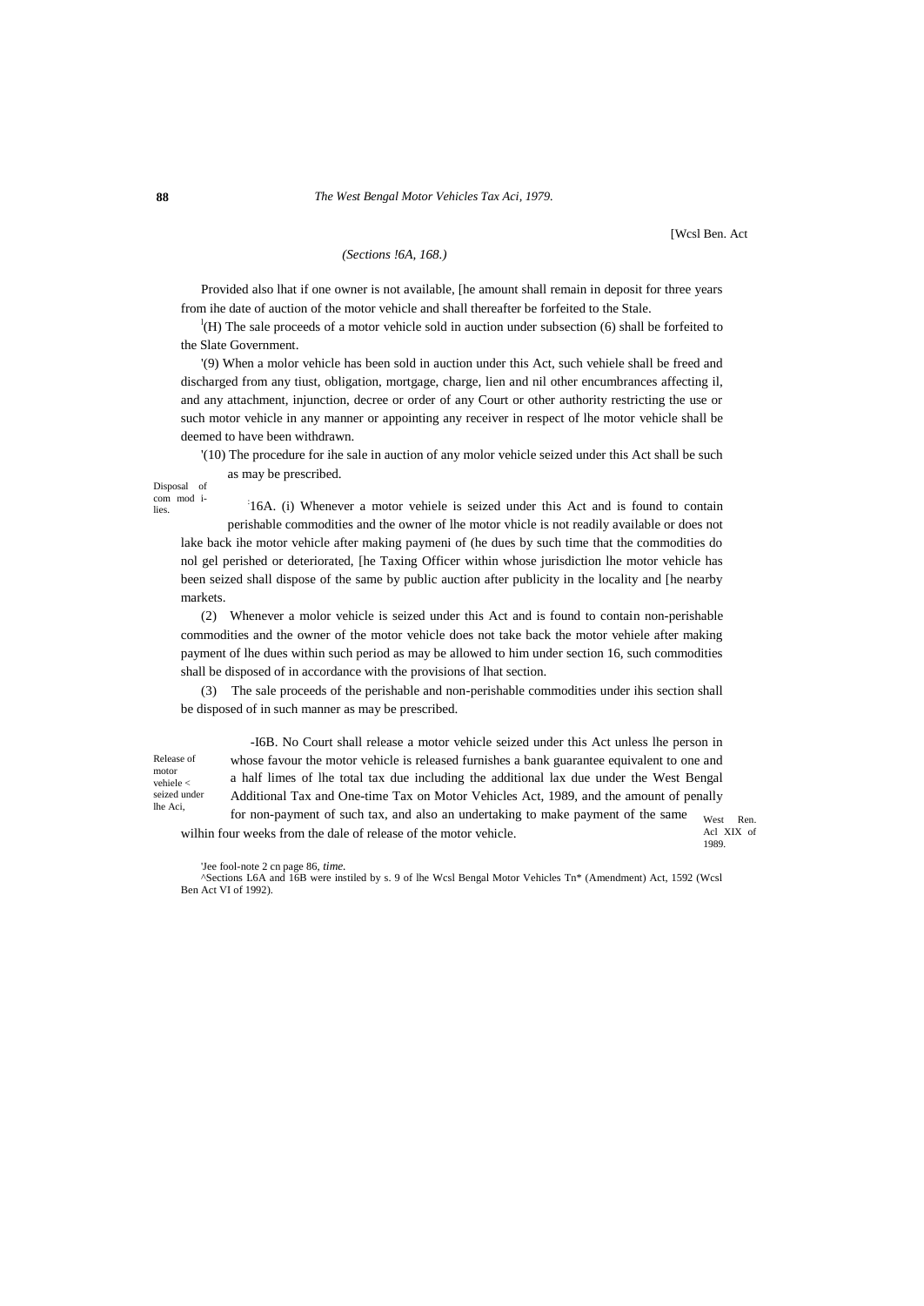#### **88** *The West Bengal Motor Vehicles Tax Aci, 1979.*

[Wcsl Ben. Act

## *(Sections !6A, 168.)*

Provided also lhat if one owner is not available, [he amount shall remain in deposit for three years from ihe date of auction of the motor vehicle and shall thereafter be forfeited to the Stale.

<sup>1</sup>(H) The sale proceeds of a motor vehicle sold in auction under subsection (6) shall be forfeited to the Slate Government.

'(9) When a molor vehicle has been sold in auction under this Act, such vehiele shall be freed and discharged from any tiust, obligation, mortgage, charge, lien and nil other encumbrances affecting il, and any attachment, injunction, decree or order of any Court or other authority restricting the use or such motor vehicle in any manner or appointing any receiver in respect of lhe motor vehicle shall be deemed to have been withdrawn.

'(10) The procedure for ihe sale in auction of any molor vehicle seized under this Act shall be such as may be prescribed.

Disposal of com mod i-

lies.

: 16A. (i) Whenever a motor vehiele is seized under this Act and is found to contain perishable commodities and the owner of lhe motor vhicle is not readily available or does not lake back ihe motor vehicle after making paymeni of (he dues by such time that the commodities do nol gel perished or deteriorated, [he Taxing Officer within whose jurisdiction lhe motor vehicle has been seized shall dispose of the same by public auction after publicity in the locality and [he nearby markets.

(2) Whenever a molor vehicle is seized under this Act and is found to contain non-perishable commodities and the owner of the motor vehicle does not take back the motor vehiele after making payment of lhe dues within such period as may be allowed to him under section 16, such commodities shall be disposed of in accordance with the provisions of lhat section.

(3) The sale proceeds of the perishable and non-perishable commodities under ihis section shall be disposed of in such manner as may be prescribed.

Release of motor vehiele < seized under lhe Aci,

West Ren. -I6B. No Court shall release a motor vehicle seized under this Act unless lhe person in whose favour the motor vehicle is released furnishes a bank guarantee equivalent to one and a half limes of lhe total tax due including the additional lax due under the West Bengal Additional Tax and One-time Tax on Motor Vehicles Act, 1989, and the amount of penally for non-payment of such tax, and also an undertaking to make payment of the same wilhin four weeks from the dale of release of the motor vehicle.

Acl XIX of 1989.

'Jee fool-note 2 cn page 86, *time.*

^Sections L6A and 16B were instiled by s. 9 of lhe Wcsl Bengal Motor Vehicles Tn\* (Amendment) Act, 1592 (Wcsl Ben Act VI of 1992).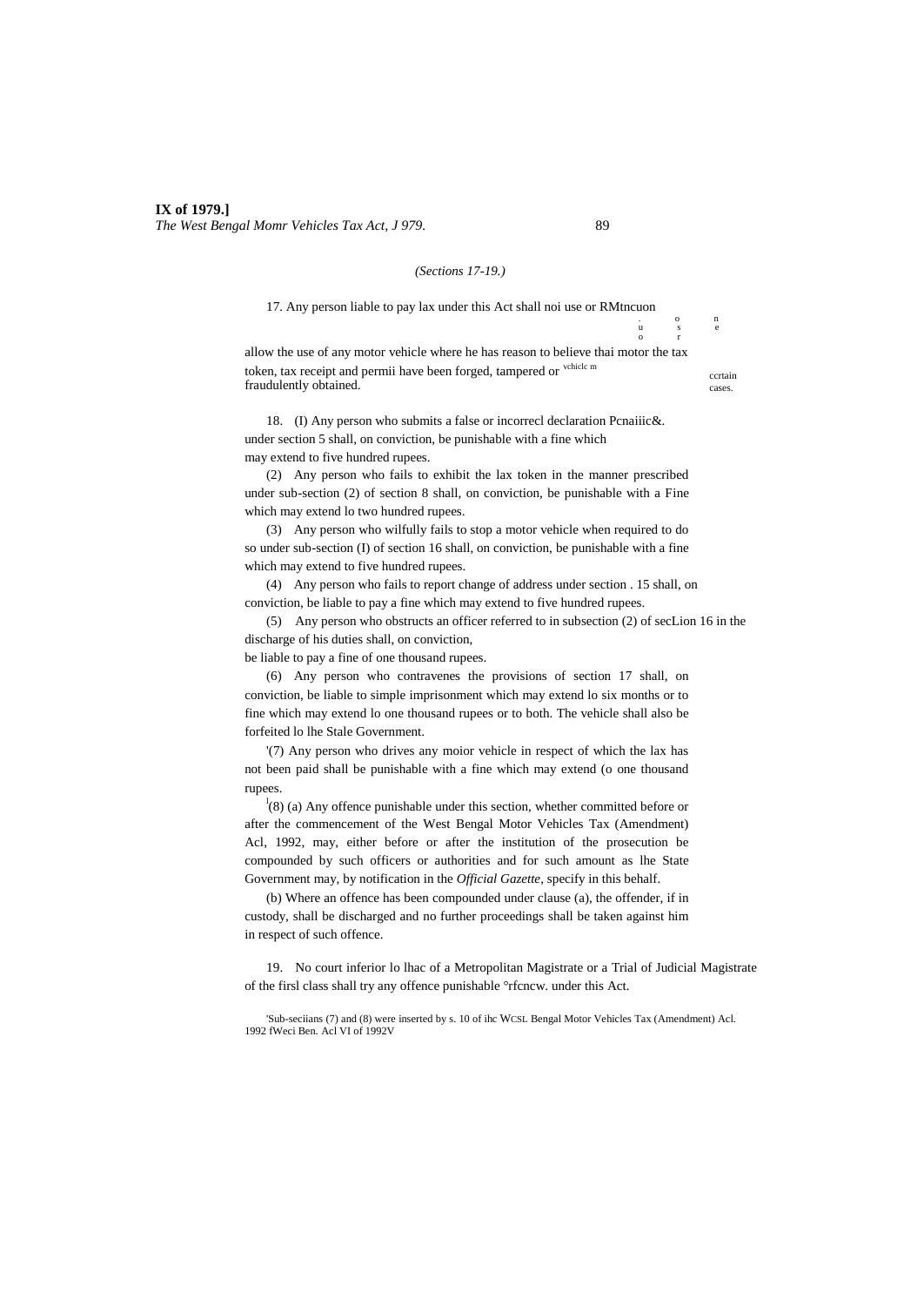#### *(Sections 17-19.)*

17. Any person liable to pay lax under this Act shall noi use or RMtncuon . o n

allow the use of any motor vehicle where he has reason to believe thai motor the tax token, tax receipt and permii have been forged, tampered or vchicle m fraudulently obtained.

18. (I) Any person who submits a false or incorrecl declaration Pcnaiiic&. under section 5 shall, on conviction, be punishable with a fine which may extend to five hundred rupees.

(2) Any person who fails to exhibit the lax token in the manner prescribed under sub-section (2) of section 8 shall, on conviction, be punishable with a Fine which may extend lo two hundred rupees.

(3) Any person who wilfully fails to stop a motor vehicle when required to do so under sub-section (I) of section 16 shall, on conviction, be punishable with a fine which may extend to five hundred rupees.

(4) Any person who fails to report change of address under section . 15 shall, on conviction, be liable to pay a fine which may extend to five hundred rupees.

(5) Any person who obstructs an officer referred to in subsection (2) of secLion 16 in the discharge of his duties shall, on conviction,

be liable to pay a fine of one thousand rupees.

(6) Any person who contravenes the provisions of section 17 shall, on conviction, be liable to simple imprisonment which may extend lo six months or to fine which may extend lo one thousand rupees or to both. The vehicle shall also be forfeited lo lhe Stale Government.

'(7) Any person who drives any moior vehicle in respect of which the lax has not been paid shall be punishable with a fine which may extend (o one thousand rupees.

 $\frac{1}{8}$  (8) (a) Any offence punishable under this section, whether committed before or after the commencement of the West Bengal Motor Vehicles Tax (Amendment) Acl, 1992, may, either before or after the institution of the prosecution be compounded by such officers or authorities and for such amount as lhe State Government may, by notification in the *Official Gazette,* specify in this behalf.

(b) Where an offence has been compounded under clause (a), the offender, if in custody, shall be discharged and no further proceedings shall be taken against him in respect of such offence.

19. No court inferior lo lhac of a Metropolitan Magistrate or a Trial of Judicial Magistrate of the firsl class shall try any offence punishable °rfcncw. under this Act.

'Sub-seciians (7) and (8) were inserted by s. 10 of ihc WCSL Bengal Motor Vehicles Tax (Amendment) Acl. 1992 fWeci Ben. Acl VI of 1992V

ccrtain cases.

u s e

o r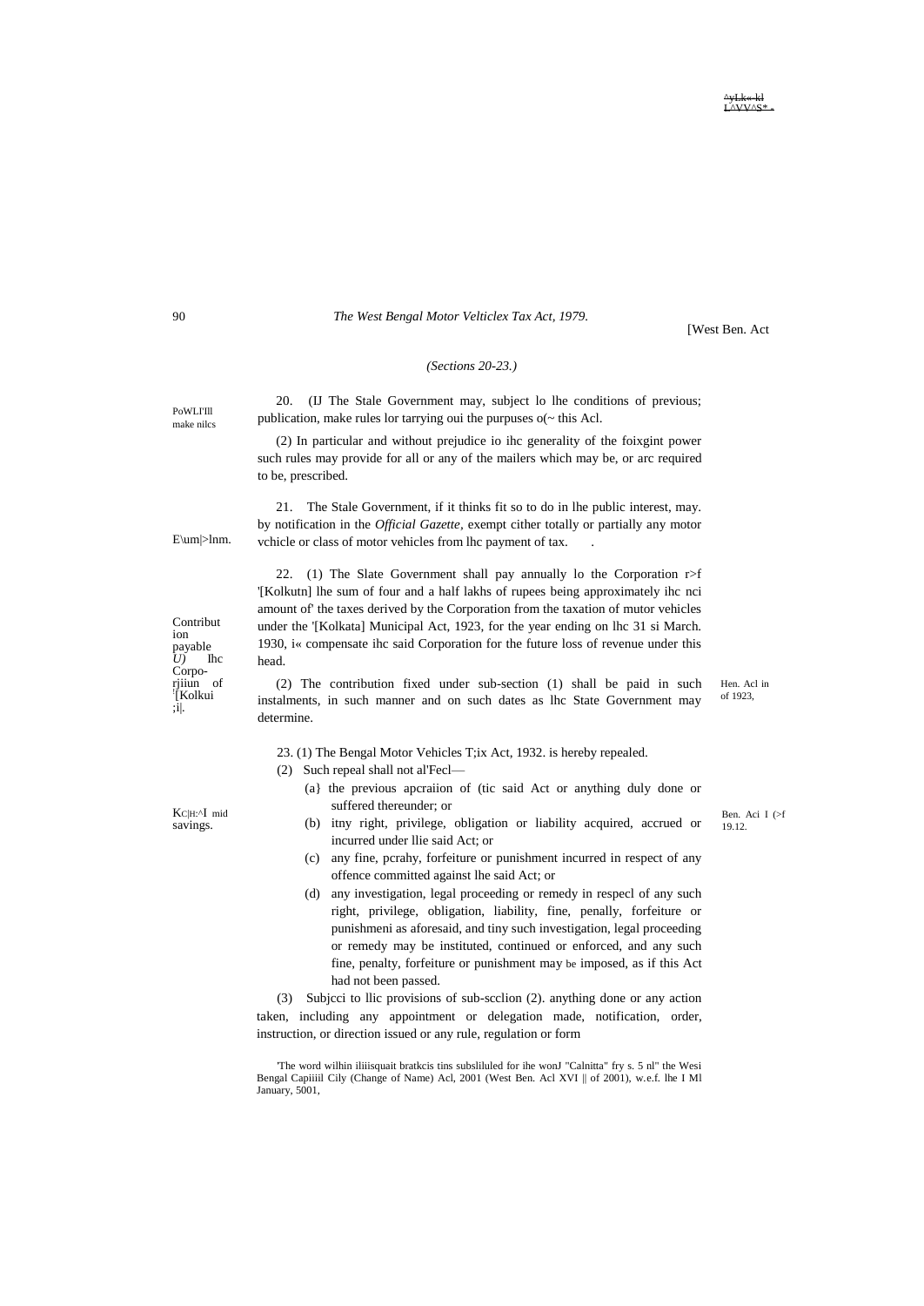**AVAILAC** 

#### The West Bengal Motor Velticlex Tax Act, 1979.

[West Ben. Act

## (Sections  $20-23$ .)

20. (IJ The Stale Government may, subject lo lhe conditions of previous; publication, make rules lor tarrying oui the purpuses  $o(\sim$  this Acl.

(2) In particular and without prejudice io ihc generality of the foixgint power such rules may provide for all or any of the mailers which may be, or arc required to be, prescribed.

21. The Stale Government, if it thinks fit so to do in lhe public interest, may. by notification in the *Official Gazette*, exempt cither totally or partially any motor vchicle or class of motor vehicles from lhc payment of tax.

22. (1) The Slate Government shall pay annually lo the Corporation  $r > f$ '[Kolkutn] lhe sum of four and a half lakhs of rupees being approximately ihc nci amount of' the taxes derived by the Corporation from the taxation of mutor vehicles under the '[Kolkata] Municipal Act, 1923, for the year ending on lhc 31 si March. 1930, i« compensate ihc said Corporation for the future loss of revenue under this head.

(2) The contribution fixed under sub-section (1) shall be paid in such Hen. Acl in of 1923. instalments, in such manner and on such dates as lhc State Government may determine.

23. (1) The Bengal Motor Vehicles T;ix Act, 1932. is hereby repealed.

- (2) Such repeal shall not al'Fecl-
	- (a) the previous apcraiion of (tic said Act or anything duly done or suffered thereunder; or
	- (b) itny right, privilege, obligation or liability acquired, accrued or incurred under Ilie said Act; or
	- (c) any fine, pcrahy, forfeiture or punishment incurred in respect of any offence committed against lhe said Act; or
	- (d) any investigation, legal proceeding or remedy in respecl of any such right, privilege, obligation, liability, fine, penally, forfeiture or punishmeni as aforesaid, and tiny such investigation, legal proceeding or remedy may be instituted, continued or enforced, and any such fine, penalty, forfeiture or punishment may be imposed, as if this Act had not been passed.

(3) Subjeci to Ilic provisions of sub-seclion (2). anything done or any action taken, including any appointment or delegation made, notification, order, instruction, or direction issued or any rule, regulation or form

'The word wilhin iliiisquait bratkcis tins subsliluled for ihe wonJ "Calnitta" fry s. 5 nl" the Wesi Bengal Capiiiil Cily (Change of Name) Acl, 2001 (West Ben. Acl XVI || of 2001), w.e.f. lhe I Ml January, 5001,

Contribut ion  $\begin{bmatrix} 2 & 1 \\ D & 1 \end{bmatrix}$  $\mathbf{I}$  $C$ <sub>orpo-</sub> rjiiun of "[Kolkui]<br>:i|.

E\um|>lnm.

KC|H:^I mid savings.

90

PoWLI'll

make niles

Ben. Aci I (>f 19.12.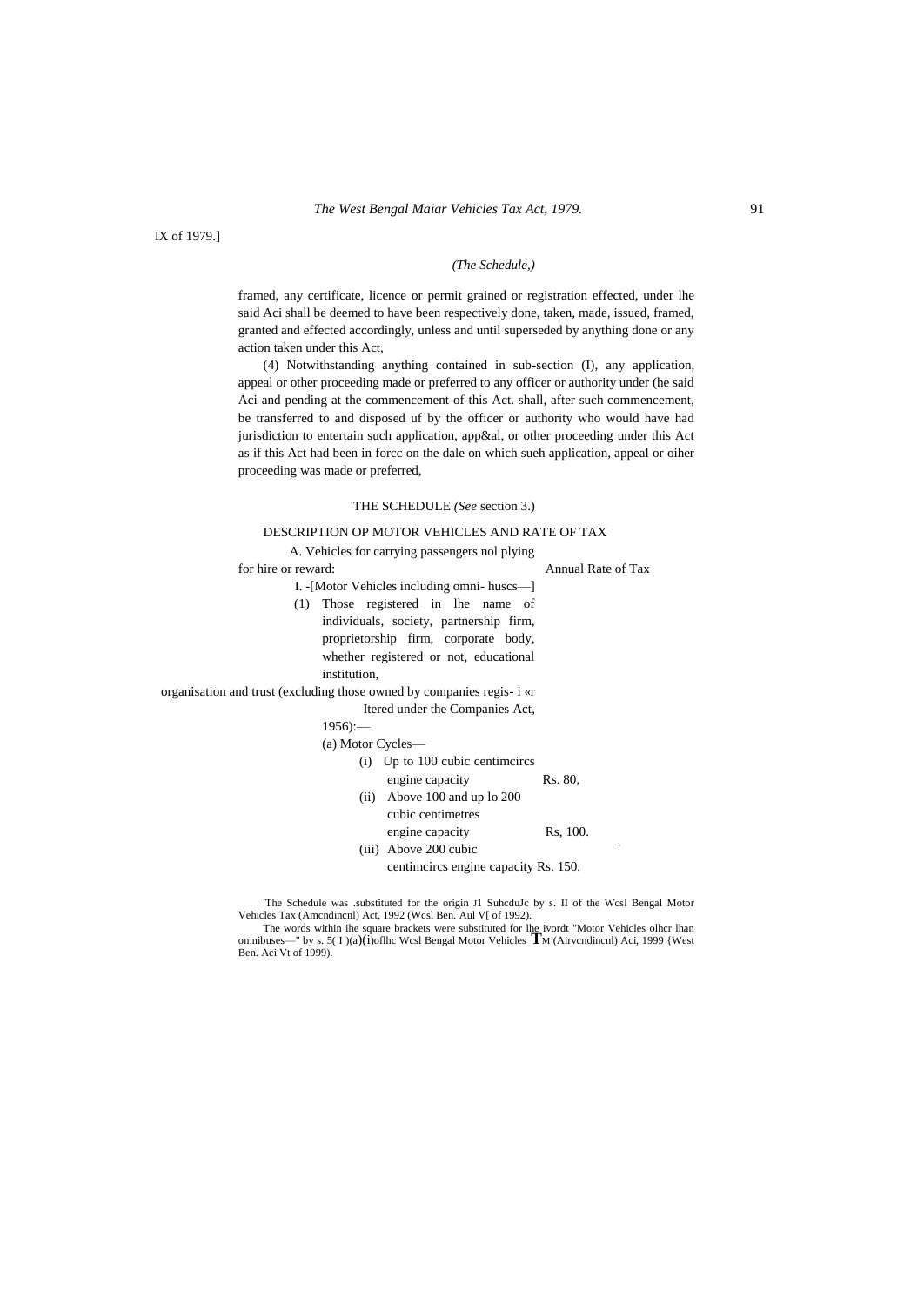IX of 1979.]

#### *(The Schedule,)*

framed, any certificate, licence or permit grained or registration effected, under lhe said Aci shall be deemed to have been respectively done, taken, made, issued, framed, granted and effected accordingly, unless and until superseded by anything done or any action taken under this Act,

(4) Notwithstanding anything contained in sub-section (I), any application, appeal or other proceeding made or preferred to any officer or authority under (he said Aci and pending at the commencement of this Act. shall, after such commencement, be transferred to and disposed uf by the officer or authority who would have had jurisdiction to entertain such application, app&al, or other proceeding under this Act as if this Act had been in forcc on the dale on which sueh application, appeal or oiher proceeding was made or preferred,

#### 'THE SCHEDULE *(See* section 3.)

#### DESCRIPTION OP MOTOR VEHICLES AND RATE OF TAX

A. Vehicles for carrying passengers nol plying

for hire or reward: Annual Rate of Tax

I. -[Motor Vehicles including omni- huscs—] (1) Those registered in lhe name of individuals, society, partnership firm, proprietorship firm, corporate body, whether registered or not, educational institution,

organisation and trust (excluding those owned by companies regis- i «r

Itered under the Companies Act,

 $1956$ ):

|  | (a) Motor Cycles- |  |
|--|-------------------|--|
|  |                   |  |

|      | (i) Up to 100 cubic centimeires |         |
|------|---------------------------------|---------|
|      | engine capacity                 | Rs. 80, |
| (ii) | Above 100 and up to 200         |         |
|      | cubic centimetres               |         |

engine capacity Rs, 100.

- (iii) Above 200 cubic
	- centimcircs engine capacity Rs. 150.

'The Schedule was .substituted for the origin J1 SuhcduJc by s. II of the Wcsl Bengal Motor Vehicles Tax (Amcndincnl) Act, 1992 (Wcsl Ben. Aul V[ of 1992).<br>The words within ihe square brackets were substituted for lhe ivordt "Motor Vehicles olhcr lhan

omnibuses—" by s. 5( I )(a)(i)oflhc Wcsl Bengal Motor Vehicles **T**<sup>M</sup> (Airvcndincnl) Aci, 1999 {West Ben. Aci Vt of 1999).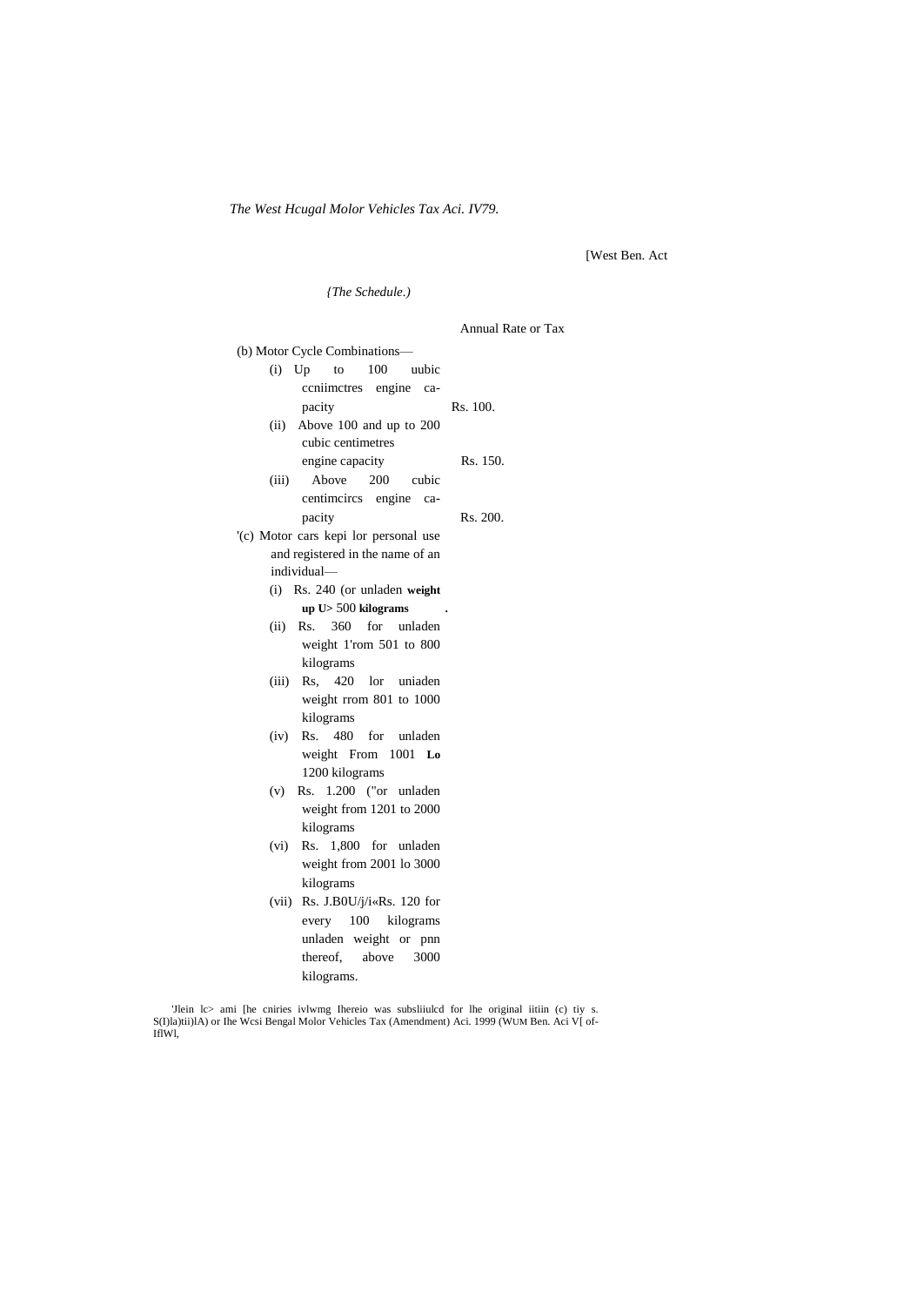The West Hcugal Molor Vehicles Tax Aci. IV79.

[West Ben. Act

(The Schedule.) Annual Rate or Tax (b) Motor Cycle Combinations- $(i)$  Up to 100 uubic ccniimctres engine ca-Rs. 100. pacity (ii) Above 100 and up to 200 cubic centimetres engine capacity Rs. 150. Above 200  $(iii)$ cubic centimeires engine capacity Rs. 200. '(c) Motor cars kepi lor personal use and registered in the name of an individual-(i) Rs. 240 (or unladen weight up U> 500 kilograms (ii) Rs. 360 for unladen weight 1'rom 501 to 800 kilograms (iii) Rs, 420 lor uniaden weight rrom 801 to 1000 kilograms  $(iv)$  Rs. 480 for unladen weight From 1001 Lo 1200 kilograms  $(v)$  Rs. 1.200 ("or unladen weight from 1201 to 2000 kilograms (vi) Rs. 1,800 for unladen weight from 2001 lo 3000 kilograms (vii) Rs. J.B0U/j/i«Rs. 120 for every 100 kilograms unladen weight or pnn thereof, above 3000

'Jlein lc> ami [he cniries ivlwmg Ihereio was subsliiuled for lhe original iitiin (c) tiy s. S(I)la)tii)lA) or Ihe Wcsi Bengal Molor Vehicles Tax (Amendment) Aci. 1999 (WUM Ben. Aci V[ of-IfIW1

kilograms.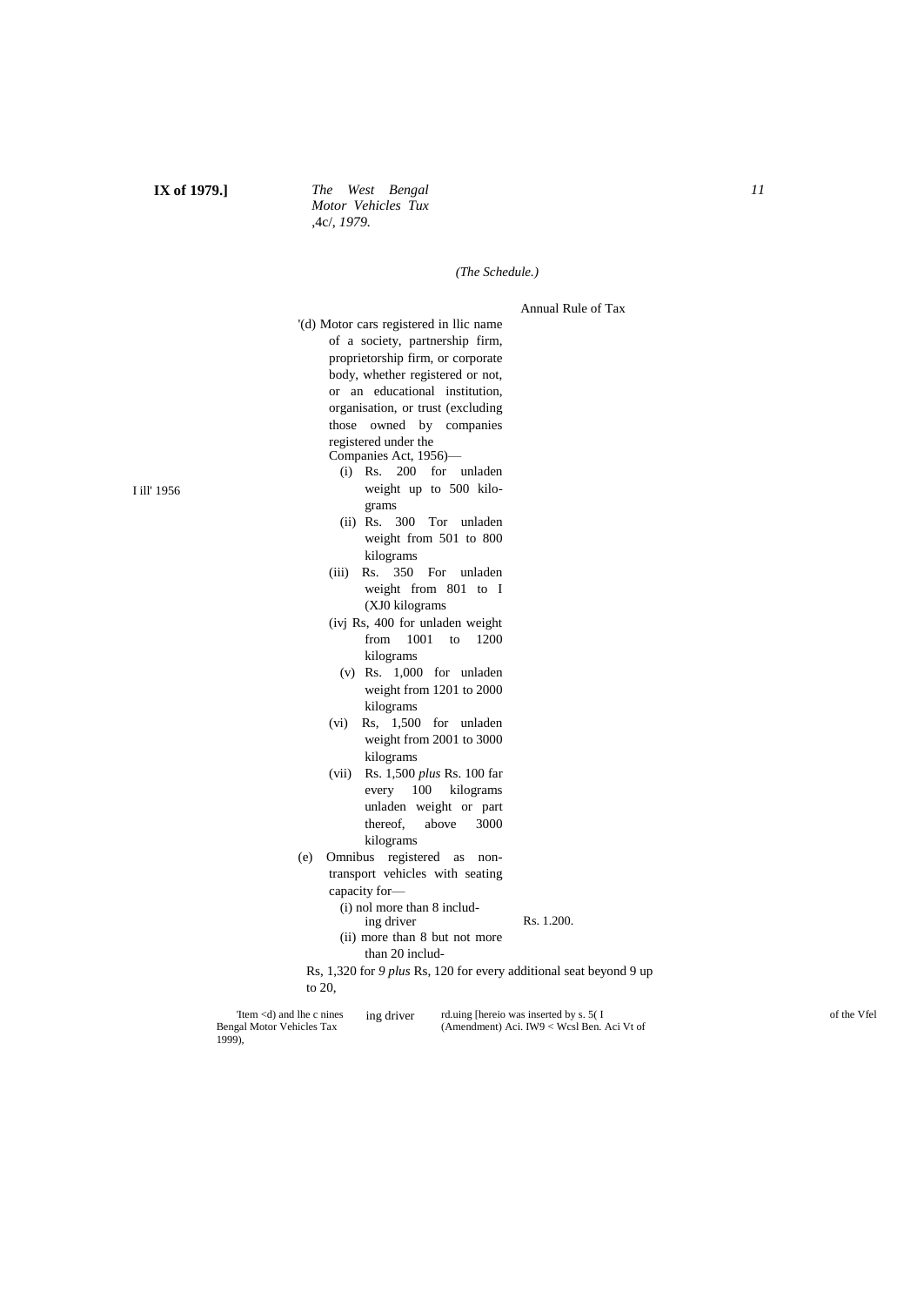## **IX of 1979.]** *The West Bengal Motor Vehicles Tux* ,4c/, *1979.*

#### *(The Schedule.)*

#### Annual Rule of Tax

'(d) Motor cars registered in llic name of a society, partnership firm, proprietorship firm, or corporate body, whether registered or not, or an educational institution, organisation, or trust (excluding those owned by companies registered under the Companies Act, 1956)—

- (i) Rs. 200 for unladen weight up to 500 kilograms
- (ii) Rs. 300 Tor unladen weight from 501 to 800 kilograms
- (iii) Rs. 350 For unladen weight from 801 to I (XJ0 kilograms
- (ivj Rs, 400 for unladen weight from 1001 to 1200 kilograms
- (v) Rs. 1,000 for unladen weight from 1201 to 2000 kilograms
- (vi) Rs, 1,500 for unladen weight from 2001 to 3000 kilograms
- (vii) Rs. 1,500 *plus* Rs. 100 far every 100 kilograms unladen weight or part thereof, above 3000 kilograms
- (e) Omnibus registered as nontransport vehicles with seating
	- capacity for—
		- (i) nol more than 8 including driver
- Rs. 1.200.
- (ii) more than 8 but not more than 20 includ-
- Rs, 1,320 for *9 plus* Rs, 120 for every additional seat beyond 9 up to 20,

| The $\ll$ and the c nines | ing driver | rd.uing [hereio was inserted by s. 5(I     | of the Vfel |
|---------------------------|------------|--------------------------------------------|-------------|
| Bengal Motor Vehicles Tax |            | (Amendment) Aci. IW9 < Wcsl Ben. Aci Vt of |             |
| 1999),                    |            |                                            |             |

I ill' 1956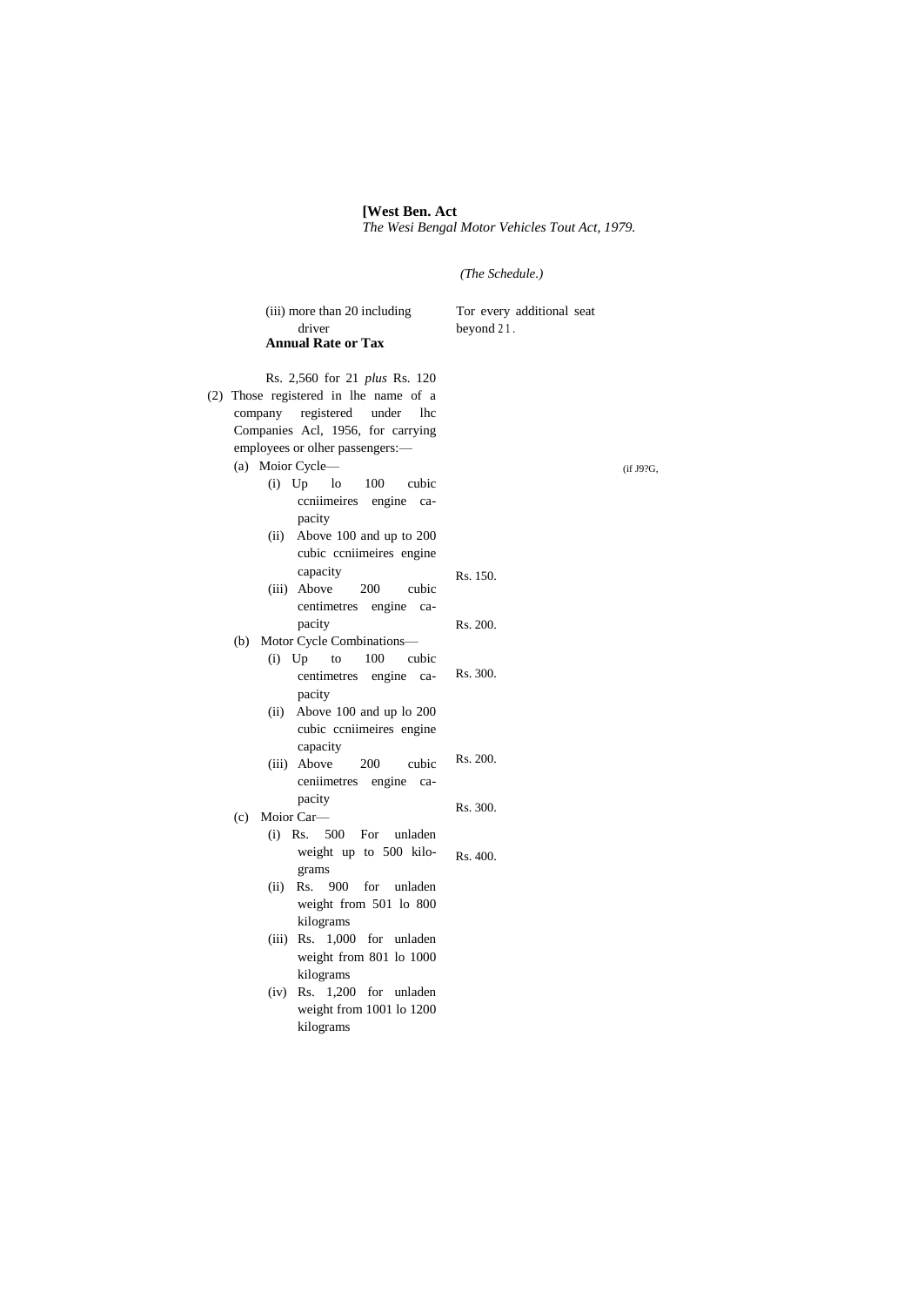#### **[West Ben. Act** *The Wesi Bengal Motor Vehicles Tout Act, 1979.*

*(The Schedule.)*

| (iii) more than 20 including<br>driver<br><b>Annual Rate or Tax</b>                                                                                                                                                                                                                                                                  | Tor every additional seat<br>beyond $21$ . |           |
|--------------------------------------------------------------------------------------------------------------------------------------------------------------------------------------------------------------------------------------------------------------------------------------------------------------------------------------|--------------------------------------------|-----------|
| Rs. 2,560 for 21 plus Rs. 120<br>(2) Those registered in lhe name of a<br>company registered<br>under<br><b>lhc</b><br>Companies Acl, 1956, for carrying<br>employees or olher passengers:-<br>(a) Moior Cycle-<br>$(i)$ Up<br>1 <sub>o</sub><br>100<br>cubic<br>ccniimeires engine ca-<br>pacity<br>Above 100 and up to 200<br>(ii) |                                            | (if J9?G, |
| cubic coniimeires engine<br>capacity<br>(iii) Above<br>200<br>cubic<br>centimetres engine ca-                                                                                                                                                                                                                                        | Rs. 150.                                   |           |
| pacity<br>Motor Cycle Combinations-                                                                                                                                                                                                                                                                                                  | Rs. 200.                                   |           |
| (b)<br>$(i)$ Up<br>100<br>cubic<br>to<br>centimetres engine ca-<br>pacity<br>Above 100 and up lo 200<br>(ii)<br>cubic coniimeires engine<br>capacity                                                                                                                                                                                 | Rs. 300.                                   |           |
| 200<br>(iii) Above<br>cubic<br>ceniimetres engine<br>ca-                                                                                                                                                                                                                                                                             | Rs. 200.                                   |           |
| pacity<br>Moior Car-<br>(c)                                                                                                                                                                                                                                                                                                          | Rs. 300.                                   |           |
| (i)<br>Rs.<br>500<br>For<br>unladen<br>weight up to 500 kilo-                                                                                                                                                                                                                                                                        | Rs. 400.                                   |           |
| grams<br>900<br>(ii)<br>Rs.<br>for<br>unladen<br>weight from 501 lo 800<br>kilograms                                                                                                                                                                                                                                                 |                                            |           |
| (iii) Rs. 1,000 for unladen<br>weight from 801 lo 1000<br>kilograms                                                                                                                                                                                                                                                                  |                                            |           |
| $(iv)$ Rs. 1,200 for unladen<br>weight from 1001 lo 1200<br>kilograms                                                                                                                                                                                                                                                                |                                            |           |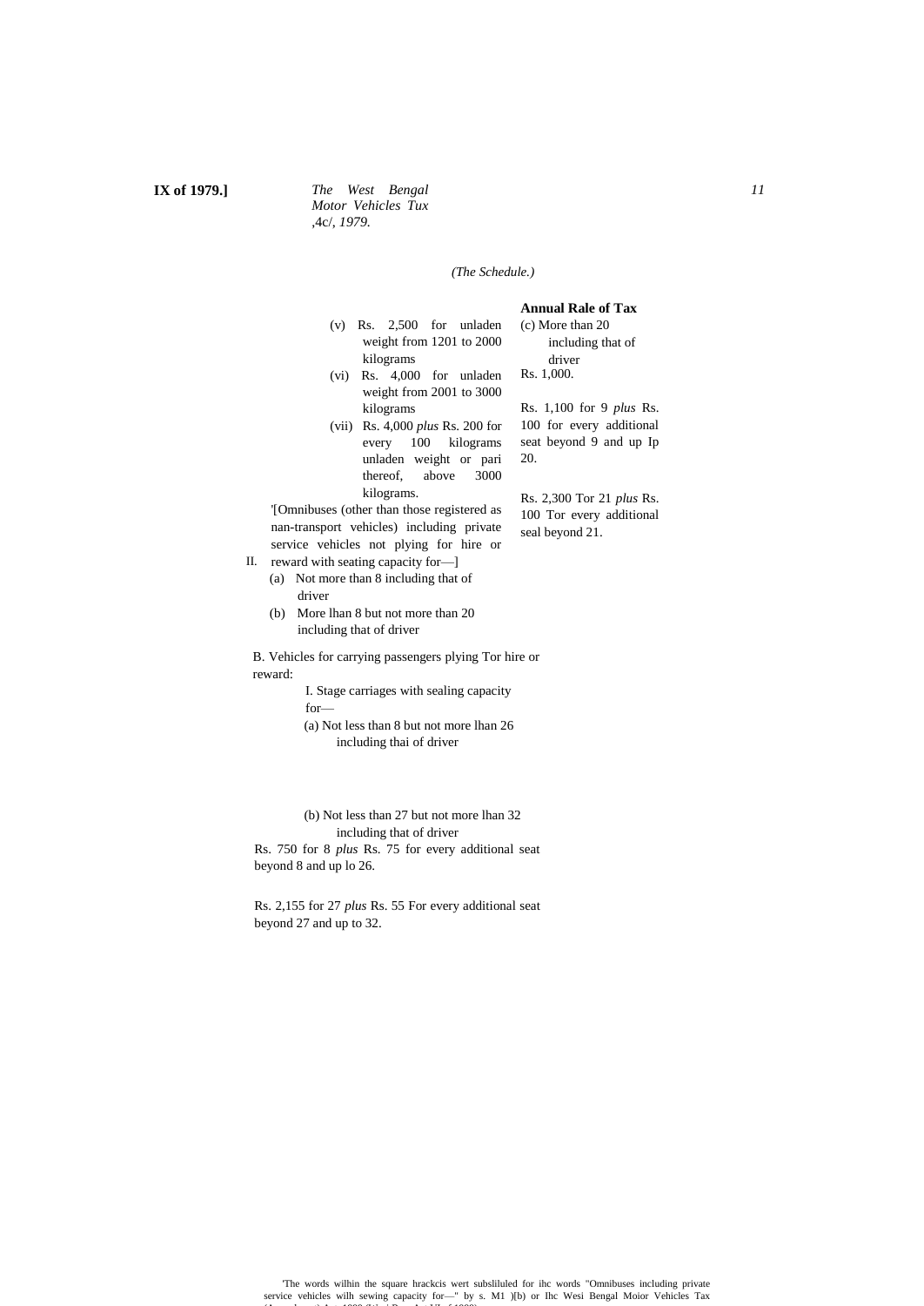### **IX of 1979.]** *The West Bengal Motor Vehicles Tux* ,4c/, *1979.*

#### *(The Schedule.)*

- (v) Rs. 2,500 for unladen weight from 1201 to 2000 kilograms
- (vi) Rs. 4,000 for unladen weight from 2001 to 3000 kilograms
- (vii) Rs. 4,000 *plus* Rs. 200 for every 100 kilograms unladen weight or pari thereof, above 3000 kilograms.

20.

'[Omnibuses (other than those registered as nan-transport vehicles) including private service vehicles not plying for hire or

- II. reward with seating capacity for—]
	- (a) Not more than 8 including that of driver
	- (b) More lhan 8 but not more than 20 including that of driver

B. Vehicles for carrying passengers plying Tor hire or reward:

> I. Stage carriages with sealing capacity for—

(a) Not less than 8 but not more lhan 26 including thai of driver

(b) Not less than 27 but not more lhan 32 including that of driver

Rs. 750 for 8 *plus* Rs. 75 for every additional seat beyond 8 and up lo 26.

Rs. 2,155 for 27 *plus* Rs. 55 For every additional seat beyond 27 and up to 32.

# **Annual Rale of Tax**

(c) More than 20 including that of driver Rs. 1,000.

Rs. 1,100 for 9 *plus* Rs. 100 for every additional seat beyond 9 and up Ip

Rs. 2,300 Tor 21 *plus* Rs. 100 Tor every additional seal beyond 21.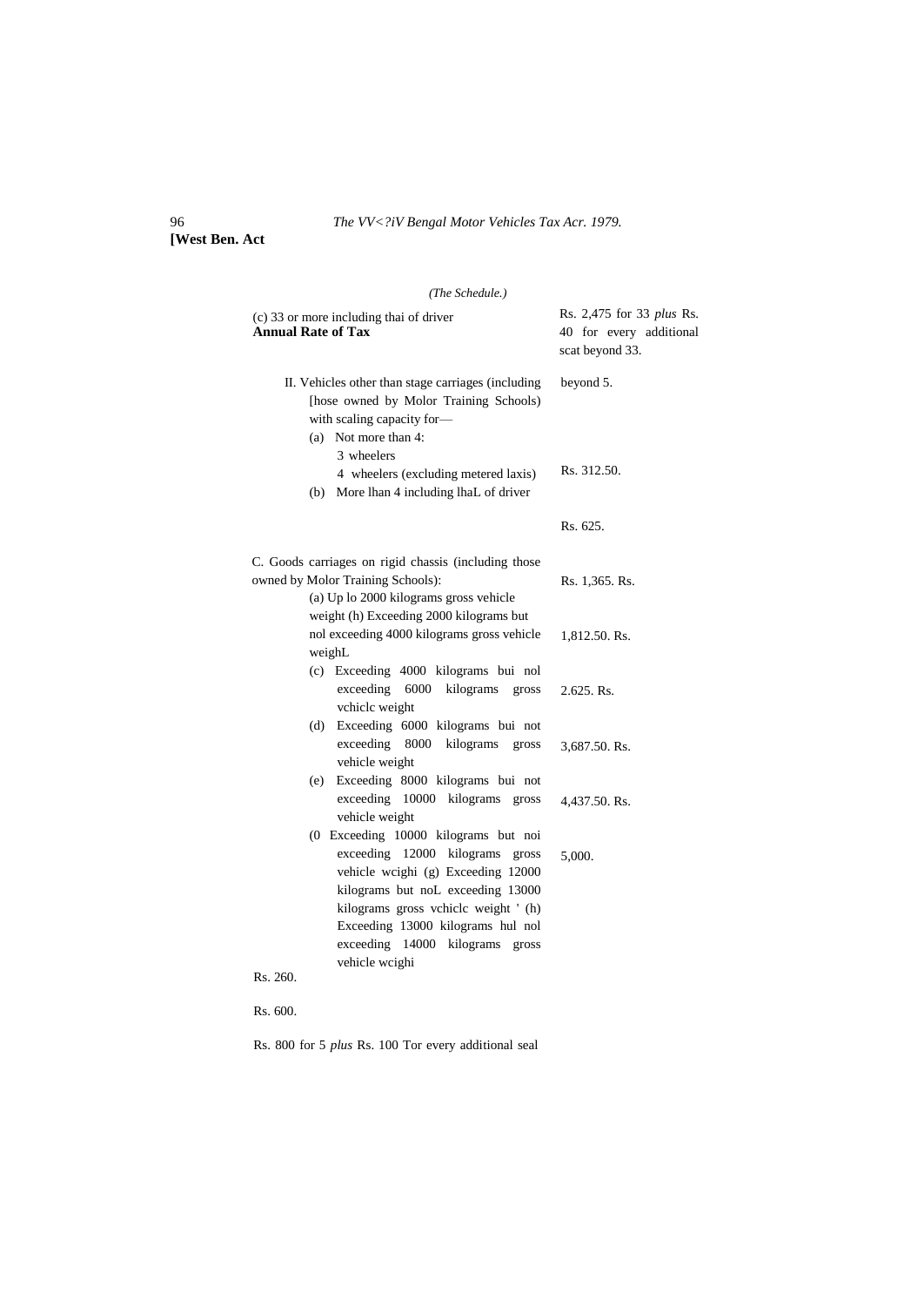96 *The VV<?iV Bengal Motor Vehicles Tax Acr. 1979.*

**[West Ben. Act**

# *(The Schedule.)*

| (c) 33 or more including thai of driver<br><b>Annual Rate of Tax</b>                                                                                                                                                                                                                    | Rs. 2,475 for 33 plus Rs.<br>40 for every additional<br>scat beyond 33. |  |  |
|-----------------------------------------------------------------------------------------------------------------------------------------------------------------------------------------------------------------------------------------------------------------------------------------|-------------------------------------------------------------------------|--|--|
| II. Vehicles other than stage carriages (including<br>[hose owned by Molor Training Schools)<br>with scaling capacity for-<br>(a) Not more than 4:<br>3 wheelers                                                                                                                        | beyond 5.                                                               |  |  |
| 4 wheelers (excluding metered laxis)<br>More lhan 4 including lhaL of driver<br>(b)                                                                                                                                                                                                     | Rs. 312.50.                                                             |  |  |
|                                                                                                                                                                                                                                                                                         | Rs. 625.                                                                |  |  |
| C. Goods carriages on rigid chassis (including those<br>owned by Molor Training Schools):<br>(a) Up lo 2000 kilograms gross vehicle                                                                                                                                                     | Rs. 1,365. Rs.                                                          |  |  |
| weight (h) Exceeding 2000 kilograms but<br>nol exceeding 4000 kilograms gross vehicle<br>weighL                                                                                                                                                                                         | 1,812.50. Rs.                                                           |  |  |
| (c) Exceeding 4000 kilograms bui nol<br>6000<br>exceeding<br>kilograms<br>gross<br>vchiclc weight                                                                                                                                                                                       | 2.625. Rs.                                                              |  |  |
| Exceeding 6000 kilograms bui not<br>(d)<br>exceeding<br>8000<br>kilograms<br>gross<br>vehicle weight                                                                                                                                                                                    | 3,687.50. Rs.                                                           |  |  |
| Exceeding 8000 kilograms bui not<br>(e)<br>exceeding<br>10000 kilograms gross<br>vehicle weight                                                                                                                                                                                         | 4,437.50. Rs.                                                           |  |  |
| (0 Exceeding 10000 kilograms but noi<br>exceeding 12000 kilograms<br>gross<br>vehicle wcighi (g) Exceeding 12000<br>kilograms but noL exceeding 13000<br>kilograms gross vchicle weight ' (h)<br>Exceeding 13000 kilograms hul nol<br>exceeding 14000 kilograms gross<br>vehicle wcighi | 5,000.                                                                  |  |  |
| Rs. 260.                                                                                                                                                                                                                                                                                |                                                                         |  |  |
| Rs. 600.                                                                                                                                                                                                                                                                                |                                                                         |  |  |

Rs. 800 for 5 *plus* Rs. 100 Tor every additional seal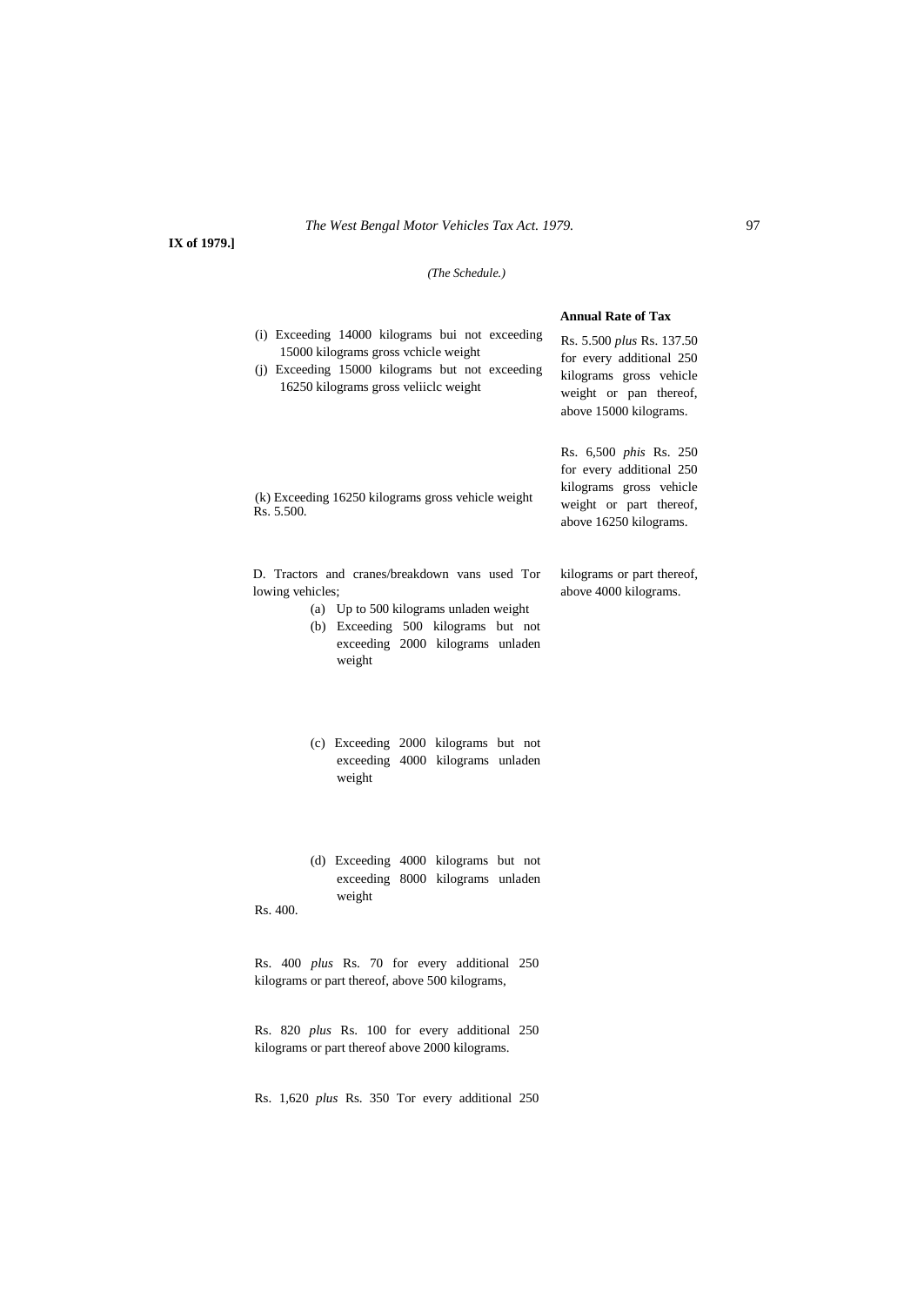**IX of 1979.]**

# *(The Schedule.)*

|                                                                                                                                                                                                   | <b>Annual Rate of Tax</b>                                                                                                                 |
|---------------------------------------------------------------------------------------------------------------------------------------------------------------------------------------------------|-------------------------------------------------------------------------------------------------------------------------------------------|
| (i) Exceeding 14000 kilograms bui not exceeding<br>15000 kilograms gross vchicle weight<br>(j) Exceeding 15000 kilograms but not exceeding<br>16250 kilograms gross veliiclc weight               | Rs. 5.500 plus Rs. 137.50<br>for every additional 250<br>kilograms gross vehicle<br>weight or pan thereof,<br>above 15000 kilograms.      |
| (k) Exceeding 16250 kilograms gross vehicle weight<br>Rs. 5.500.                                                                                                                                  | Rs. 6,500 <i>phis</i> Rs. 250<br>for every additional 250<br>kilograms gross vehicle<br>weight or part thereof,<br>above 16250 kilograms. |
| D. Tractors and cranes/breakdown vans used Tor<br>lowing vehicles;<br>(a) Up to 500 kilograms unladen weight<br>(b) Exceeding 500 kilograms but not<br>exceeding 2000 kilograms unladen<br>weight | kilograms or part thereof,<br>above 4000 kilograms.                                                                                       |
| (c) Exceeding 2000 kilograms but not<br>exceeding 4000 kilograms unladen<br>weight                                                                                                                |                                                                                                                                           |
| (d) Exceeding 4000 kilograms but not<br>exceeding 8000 kilograms unladen<br>weight<br>Rs. 400.                                                                                                    |                                                                                                                                           |
| Rs. 400 <i>plus</i> Rs. 70 for every additional 250<br>kilograms or part thereof, above 500 kilograms,                                                                                            |                                                                                                                                           |
| Rs. 820 plus Rs. 100 for every additional 250<br>kilograms or part thereof above 2000 kilograms.                                                                                                  |                                                                                                                                           |
|                                                                                                                                                                                                   |                                                                                                                                           |

Rs. 1,620 *plus* Rs. 350 Tor every additional 250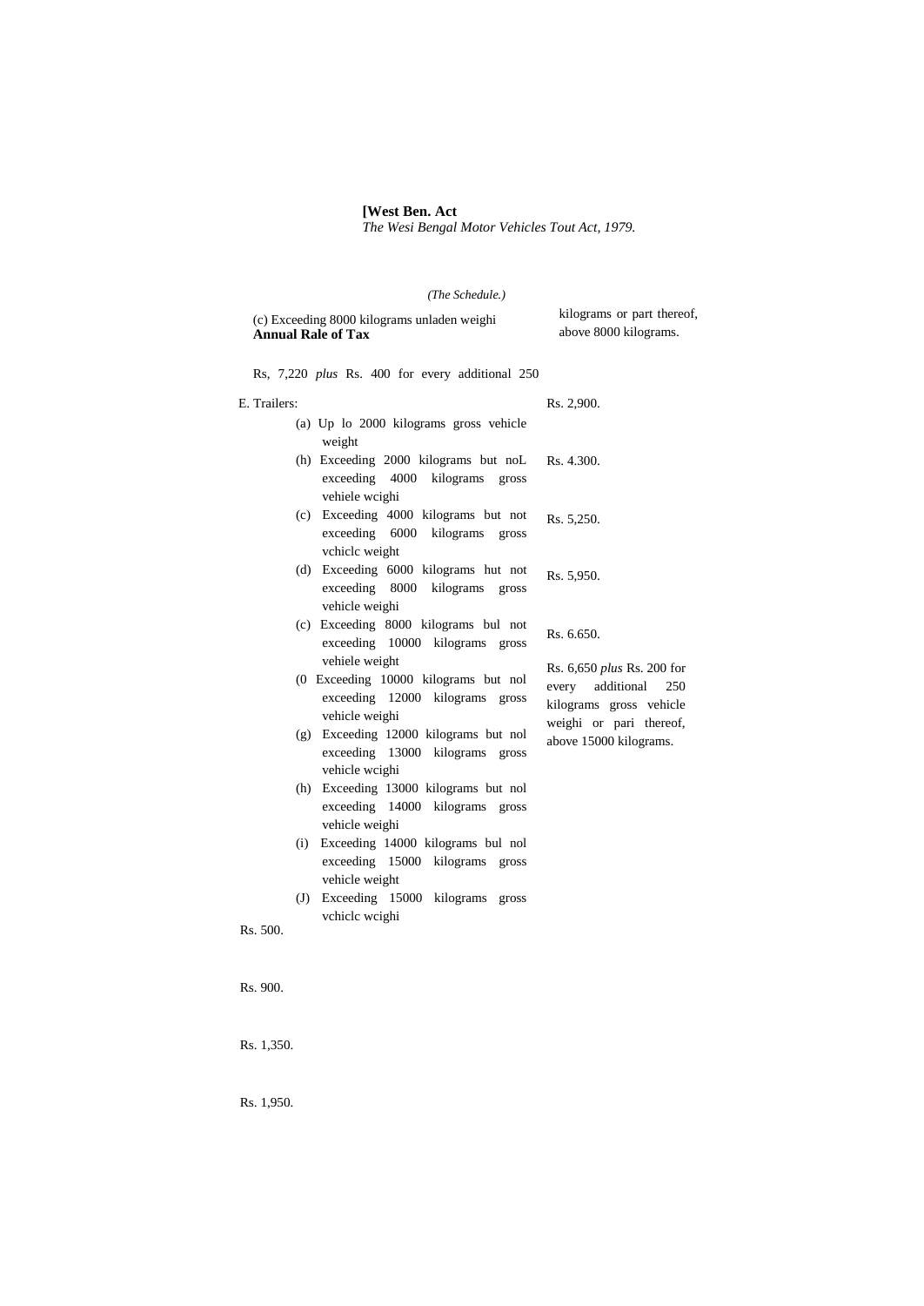#### **[West Ben. Act**

*The Wesi Bengal Motor Vehicles Tout Act, 1979.*

# *(The Schedule.)*

| (c) Exceeding 8000 kilograms unladen weighi<br><b>Annual Rale of Tax</b>                                    | kilograms or part thereof,<br>above 8000 kilograms.                                                            |
|-------------------------------------------------------------------------------------------------------------|----------------------------------------------------------------------------------------------------------------|
| Rs, 7,220 plus Rs. 400 for every additional 250                                                             |                                                                                                                |
| E. Trailers:                                                                                                | Rs. 2,900.                                                                                                     |
| (a) Up lo 2000 kilograms gross vehicle<br>weight                                                            |                                                                                                                |
| (h) Exceeding 2000 kilograms but noL<br>exceeding 4000 kilograms<br>gross<br>vehiele wcighi                 | Rs. 4.300.                                                                                                     |
| (c) Exceeding 4000 kilograms but not<br>exceeding 6000 kilograms<br>gross<br>vchiclc weight                 | Rs. 5,250.                                                                                                     |
| (d) Exceeding 6000 kilograms hut not<br>exceeding 8000 kilograms<br>gross<br>vehicle weighi                 | Rs. 5,950.                                                                                                     |
| (c) Exceeding 8000 kilograms bul not<br>exceeding 10000 kilograms gross                                     | Rs. 6.650.                                                                                                     |
| vehiele weight<br>(0 Exceeding 10000 kilograms but nol<br>exceeding 12000 kilograms gross<br>vehicle weighi | Rs. 6,650 plus Rs. 200 for<br>additional<br>250<br>every<br>kilograms gross vehicle<br>weighi or pari thereof, |
| (g) Exceeding 12000 kilograms but nol<br>exceeding 13000 kilograms gross<br>vehicle wcighi                  | above 15000 kilograms.                                                                                         |
| Exceeding 13000 kilograms but nol<br>(h)<br>exceeding 14000 kilograms gross<br>vehicle weighi               |                                                                                                                |
| Exceeding 14000 kilograms bul nol<br>(i)<br>exceeding 15000 kilograms<br>gross<br>vehicle weight            |                                                                                                                |
| Exceeding 15000 kilograms<br>(J)<br>gross<br>vchiclc wcighi<br>Rs. 500.                                     |                                                                                                                |
| $D_0$ $000$                                                                                                 |                                                                                                                |

Rs. 900.

Rs. 1,350.

Rs. 1,950.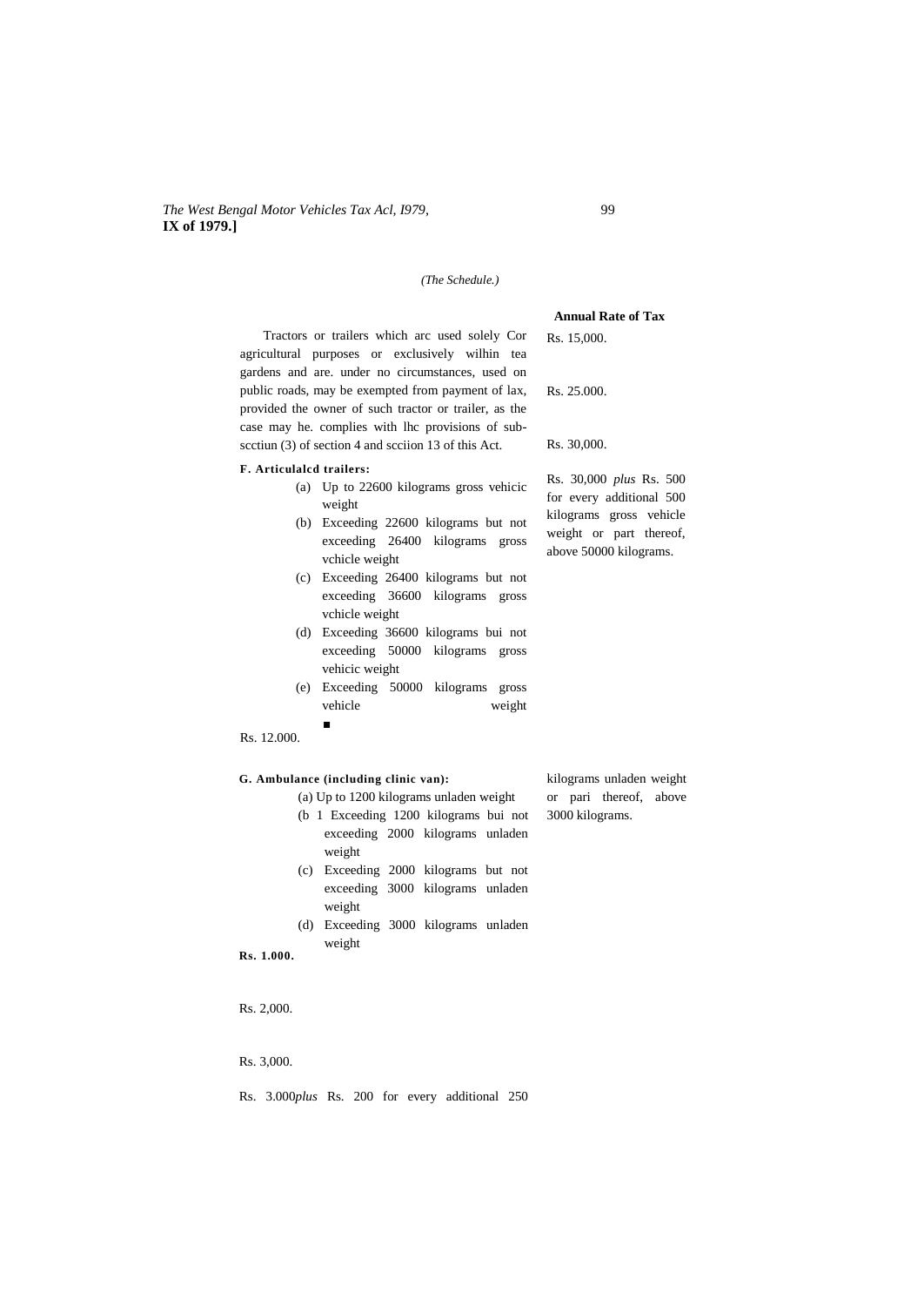## *The West Bengal Motor Vehicles Tax Acl, I979,* 99 **IX of 1979.]**

### *(The Schedule.)*

Tractors or trailers which arc used solely Cor agricultural purposes or exclusively wilhin tea gardens and are. under no circumstances, used on public roads, may be exempted from payment of lax, provided the owner of such tractor or trailer, as the case may he. complies with lhc provisions of subscctiun (3) of section 4 and scciion 13 of this Act.

#### **F. Articulalcd trailers:**

- (a) Up to 22600 kilograms gross vehicic weight
- (b) Exceeding 22600 kilograms but not exceeding 26400 kilograms gross vchicle weight
- (c) Exceeding 26400 kilograms but not exceeding 36600 kilograms gross vchicle weight
- (d) Exceeding 36600 kilograms bui not exceeding 50000 kilograms gross vehicic weight
- (e) Exceeding 50000 kilograms gross vehicle weight
- Rs. 12.000.

## **G. Ambulance (including clinic van):**

■

- (a) Up to 1200 kilograms unladen weight
- (b 1 Exceeding 1200 kilograms bui not exceeding 2000 kilograms unladen weight
- (c) Exceeding 2000 kilograms but not exceeding 3000 kilograms unladen weight
- (d) Exceeding 3000 kilograms unladen weight
- **Rs. 1.000.**

Rs. 2,000.

Rs. 3,000.

Rs. 3.000*plus* Rs. 200 for every additional 250

kilograms unladen weight or pari thereof, above 3000 kilograms.

Rs. 15,000.

Rs. 25.000.

Rs. 30,000.

Rs. 30,000 *plus* Rs. 500 for every additional 500 kilograms gross vehicle weight or part thereof, above 50000 kilograms.

**Annual Rate of Tax**